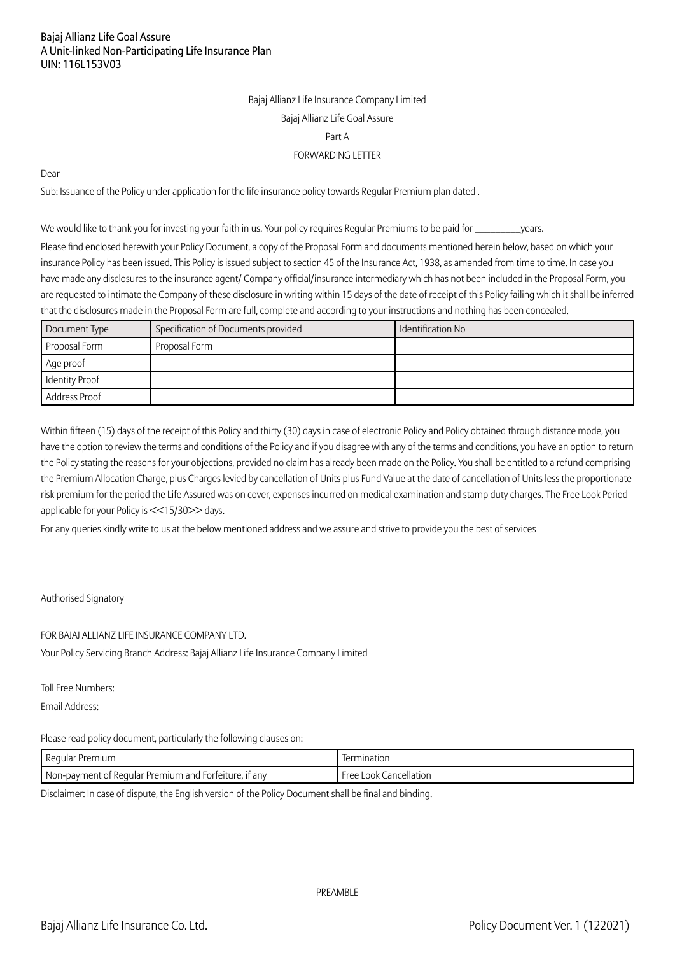Bajaj Allianz Life Insurance Company Limited Bajaj Allianz Life Goal Assure Part A FORWARDING LETTER

Dear

Sub: Issuance of the Policy under application for the life insurance policy towards Regular Premium plan dated .

We would like to thank you for investing your faith in us. Your policy requires Regular Premiums to be paid for \_\_\_\_\_\_\_\_\_\_years.

Please find enclosed herewith your Policy Document, a copy of the Proposal Form and documents mentioned herein below, based on which your insurance Policy has been issued. This Policy is issued subject to section 45 of the Insurance Act, 1938, as amended from time to time. In case you have made any disclosures to the insurance agent/ Company official/insurance intermediary which has not been included in the Proposal Form, you are requested to intimate the Company of these disclosure in writing within 15 days of the date of receipt of this Policy failing which it shall be inferred that the disclosures made in the Proposal Form are full, complete and according to your instructions and nothing has been concealed.

| Document Type  | Specification of Documents provided | Identification No |
|----------------|-------------------------------------|-------------------|
| Proposal Form  | Proposal Form                       |                   |
| Age proof      |                                     |                   |
| Identity Proof |                                     |                   |
| Address Proof  |                                     |                   |

Within fifteen (15) days of the receipt of this Policy and thirty (30) days in case of electronic Policy and Policy obtained through distance mode, you have the option to review the terms and conditions of the Policy and if you disagree with any of the terms and conditions, you have an option to return the Policy stating the reasons for your objections, provided no claim has already been made on the Policy. You shall be entitled to a refund comprising the Premium Allocation Charge, plus Charges levied by cancellation of Units plus Fund Value at the date of cancellation of Units less the proportionate risk premium for the period the Life Assured was on cover, expenses incurred on medical examination and stamp duty charges. The Free Look Period applicable for your Policy is <<15/30>> days.

For any queries kindly write to us at the below mentioned address and we assure and strive to provide you the best of services

#### Authorised Signatory

FOR BAJAJ ALLIANZ LIFE INSURANCE COMPANY LTD.

Your Policy Servicing Branch Address: Bajaj Allianz Life Insurance Company Limited

Toll Free Numbers:

Email Address:

Please read policy document, particularly the following clauses on:

| Regular                                | mination     |
|----------------------------------------|--------------|
| * Premium                              | $\sim$       |
| T Non-payment of Regular Premium and i | Free         |
| . if anv                               | Cancellation |
| Forfeiture.                            | Look         |

Disclaimer: In case of dispute, the English version of the Policy Document shall be final and binding.

PRFAMBLE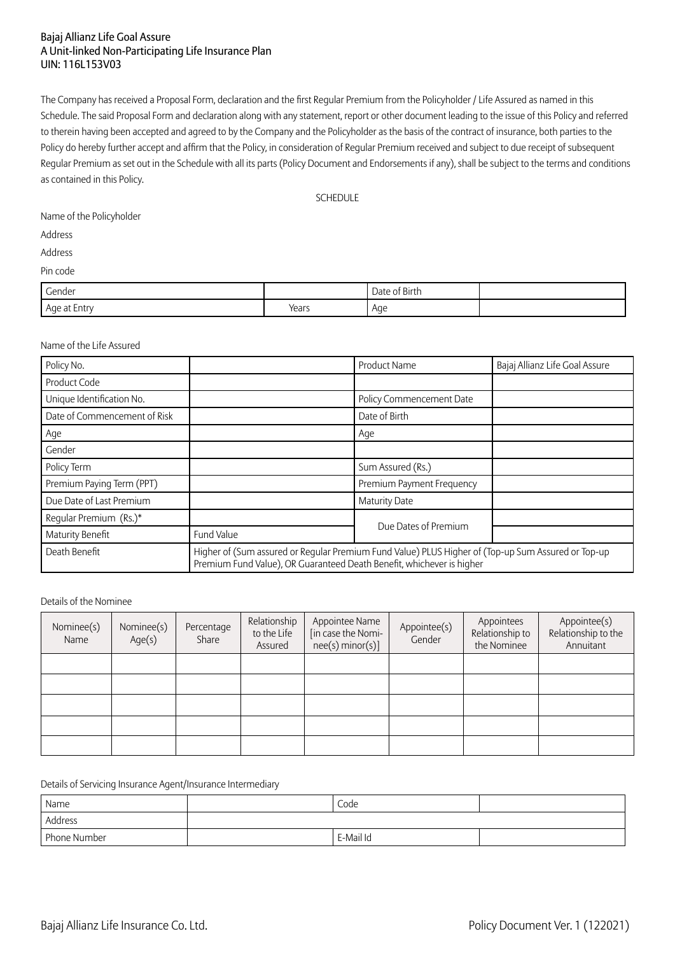The Company has received a Proposal Form, declaration and the first Regular Premium from the Policyholder / Life Assured as named in this Schedule. The said Proposal Form and declaration along with any statement, report or other document leading to the issue of this Policy and referred to therein having been accepted and agreed to by the Company and the Policyholder as the basis of the contract of insurance, both parties to the Policy do hereby further accept and affirm that the Policy, in consideration of Regular Premium received and subject to due receipt of subsequent Regular Premium as set out in the Schedule with all its parts (Policy Document and Endorsements if any), shall be subject to the terms and conditions as contained in this Policy.

**SCHEDULE** 

Name of the Policyholder

Address

Address

Pin code

| Gender<br>.  |       | Date of Birth |  |
|--------------|-------|---------------|--|
| Age at Entry | Years | Age<br>. .    |  |

#### Name of the Life Assured

| Policy No.                   |                                                                                                                                                                             | Product Name<br>Bajaj Allianz Life Goal Assure |  |  |  |
|------------------------------|-----------------------------------------------------------------------------------------------------------------------------------------------------------------------------|------------------------------------------------|--|--|--|
| Product Code                 |                                                                                                                                                                             |                                                |  |  |  |
| Unique Identification No.    |                                                                                                                                                                             | Policy Commencement Date                       |  |  |  |
| Date of Commencement of Risk |                                                                                                                                                                             | Date of Birth                                  |  |  |  |
| Age                          |                                                                                                                                                                             | Age                                            |  |  |  |
| Gender                       |                                                                                                                                                                             |                                                |  |  |  |
| Policy Term                  |                                                                                                                                                                             | Sum Assured (Rs.)                              |  |  |  |
| Premium Paying Term (PPT)    |                                                                                                                                                                             | Premium Payment Frequency                      |  |  |  |
| Due Date of Last Premium     |                                                                                                                                                                             | <b>Maturity Date</b>                           |  |  |  |
| Regular Premium (Rs.)*       |                                                                                                                                                                             | Due Dates of Premium                           |  |  |  |
| Maturity Benefit             | Fund Value                                                                                                                                                                  |                                                |  |  |  |
| Death Benefit                | Higher of (Sum assured or Regular Premium Fund Value) PLUS Higher of (Top-up Sum Assured or Top-up<br>Premium Fund Value), OR Guaranteed Death Benefit, whichever is higher |                                                |  |  |  |

#### Details of the Nominee

| Nominee(s)<br>Name | Nominee(s)<br>Age(s) | Percentage<br>Share | Relationship<br>to the Life<br>Assured | Appointee Name<br>[in case the Nomi-<br>nee(s) minor(s)] | Appointee(s)<br>Gender | Appointees<br>Relationship to<br>the Nominee | Appointee(s)<br>Relationship to the<br>Annuitant |
|--------------------|----------------------|---------------------|----------------------------------------|----------------------------------------------------------|------------------------|----------------------------------------------|--------------------------------------------------|
|                    |                      |                     |                                        |                                                          |                        |                                              |                                                  |
|                    |                      |                     |                                        |                                                          |                        |                                              |                                                  |
|                    |                      |                     |                                        |                                                          |                        |                                              |                                                  |
|                    |                      |                     |                                        |                                                          |                        |                                              |                                                  |
|                    |                      |                     |                                        |                                                          |                        |                                              |                                                  |

Details of Servicing Insurance Agent/Insurance Intermediary

| Name         | Code      |  |
|--------------|-----------|--|
| Address      |           |  |
| Phone Number | E-Mail Id |  |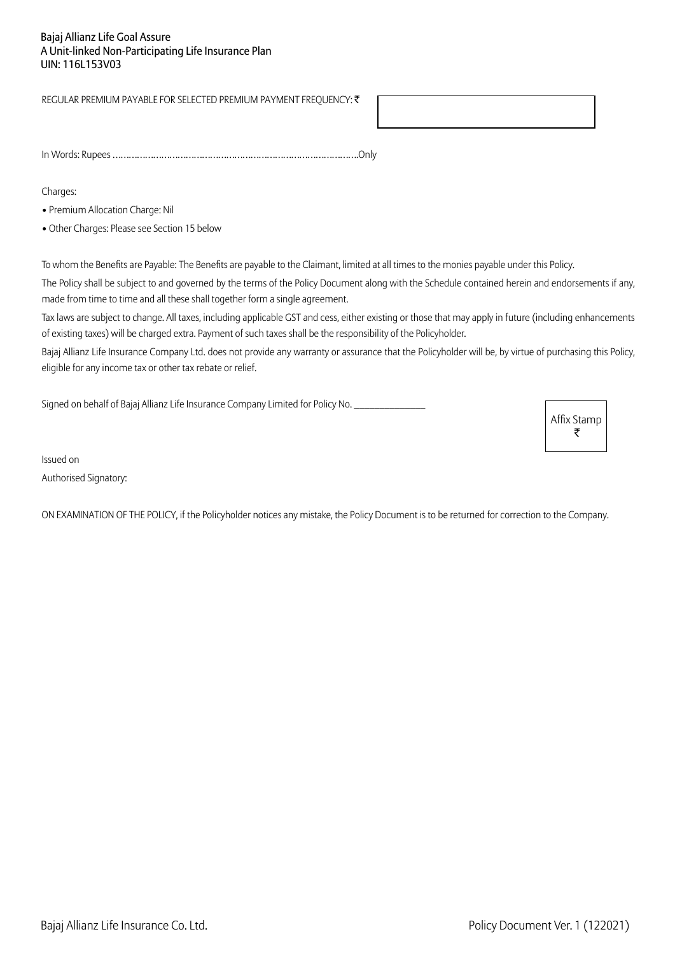REGULAR PREMIUM PAYABLE FOR SELECTED PREMIUM PAYMENT FREQUENCY: ₹

In Words: Rupees ……………………………………………………………………………….Only

Charges:

• Premium Allocation Charge: Nil

• Other Charges: Please see Section 15 below

To whom the Benefits are Payable: The Benefits are payable to the Claimant, limited at all times to the monies payable under this Policy.

The Policy shall be subject to and governed by the terms of the Policy Document along with the Schedule contained herein and endorsements if any, made from time to time and all these shall together form a single agreement.

Tax laws are subject to change. All taxes, including applicable GST and cess, either existing or those that may apply in future (including enhancements of existing taxes) will be charged extra. Payment of such taxes shall be the responsibility of the Policyholder.

Bajaj Allianz Life Insurance Company Ltd. does not provide any warranty or assurance that the Policyholder will be, by virtue of purchasing this Policy, eligible for any income tax or other tax rebate or relief.

Signed on behalf of Bajaj Allianz Life Insurance Company Limited for Policy No.

Affix Stamp ₹

Issued on Authorised Signatory:

ON EXAMINATION OF THE POLICY, if the Policyholder notices any mistake, the Policy Document is to be returned for correction to the Company.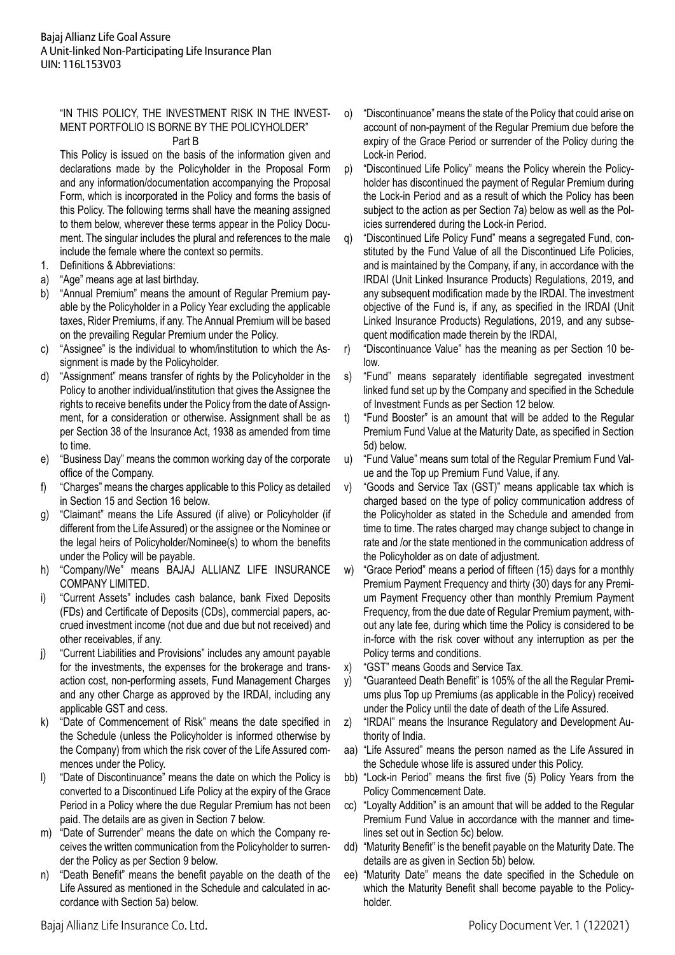# "IN THIS POLICY, THE INVESTMENT RISK IN THE INVEST-MENT PORTFOLIO IS BORNE BY THE POLICYHOLDER"

# Part B

This Policy is issued on the basis of the information given and declarations made by the Policyholder in the Proposal Form and any information/documentation accompanying the Proposal Form, which is incorporated in the Policy and forms the basis of this Policy. The following terms shall have the meaning assigned to them below, wherever these terms appear in the Policy Document. The singular includes the plural and references to the male include the female where the context so permits.

- 1. Definitions & Abbreviations:
- a) "Age" means age at last birthday.
- b) "Annual Premium" means the amount of Regular Premium payable by the Policyholder in a Policy Year excluding the applicable taxes, Rider Premiums, if any. The Annual Premium will be based on the prevailing Regular Premium under the Policy.
- c) "Assignee" is the individual to whom/institution to which the Assignment is made by the Policyholder.
- d) "Assignment" means transfer of rights by the Policyholder in the Policy to another individual/institution that gives the Assignee the rights to receive benefits under the Policy from the date of Assignment, for a consideration or otherwise. Assignment shall be as per Section 38 of the Insurance Act, 1938 as amended from time to time.
- e) "Business Day" means the common working day of the corporate office of the Company.
- f) "Charges" means the charges applicable to this Policy as detailed in Section 15 and Section 16 below.
- g) "Claimant" means the Life Assured (if alive) or Policyholder (if different from the Life Assured) or the assignee or the Nominee or the legal heirs of Policyholder/Nominee(s) to whom the benefits under the Policy will be payable.
- h) "Company/We" means BAJAJ ALLIANZ LIFE INSURANCE COMPANY LIMITED.
- i) "Current Assets" includes cash balance, bank Fixed Deposits (FDs) and Certificate of Deposits (CDs), commercial papers, accrued investment income (not due and due but not received) and other receivables, if any.
- j) "Current Liabilities and Provisions" includes any amount payable for the investments, the expenses for the brokerage and transaction cost, non-performing assets, Fund Management Charges and any other Charge as approved by the IRDAI, including any applicable GST and cess.
- k) "Date of Commencement of Risk" means the date specified in the Schedule (unless the Policyholder is informed otherwise by the Company) from which the risk cover of the Life Assured commences under the Policy.
- l) "Date of Discontinuance" means the date on which the Policy is converted to a Discontinued Life Policy at the expiry of the Grace Period in a Policy where the due Regular Premium has not been paid. The details are as given in Section 7 below.
- m) "Date of Surrender" means the date on which the Company receives the written communication from the Policyholder to surrender the Policy as per Section 9 below.
- n) "Death Benefit" means the benefit payable on the death of the Life Assured as mentioned in the Schedule and calculated in accordance with Section 5a) below.
- o) "Discontinuance" means the state of the Policy that could arise on account of non-payment of the Regular Premium due before the expiry of the Grace Period or surrender of the Policy during the Lock-in Period.
- p) "Discontinued Life Policy" means the Policy wherein the Policyholder has discontinued the payment of Regular Premium during the Lock-in Period and as a result of which the Policy has been subject to the action as per Section 7a) below as well as the Policies surrendered during the Lock-in Period.
- q) "Discontinued Life Policy Fund" means a segregated Fund, constituted by the Fund Value of all the Discontinued Life Policies, and is maintained by the Company, if any, in accordance with the IRDAI (Unit Linked Insurance Products) Regulations, 2019, and any subsequent modification made by the IRDAI. The investment objective of the Fund is, if any, as specified in the IRDAI (Unit Linked Insurance Products) Regulations, 2019, and any subsequent modification made therein by the IRDAI,
- r) "Discontinuance Value" has the meaning as per Section 10 below.
- s) "Fund" means separately identifiable segregated investment linked fund set up by the Company and specified in the Schedule of Investment Funds as per Section 12 below.
- t) "Fund Booster" is an amount that will be added to the Regular Premium Fund Value at the Maturity Date, as specified in Section 5d) below.
- u) "Fund Value" means sum total of the Regular Premium Fund Value and the Top up Premium Fund Value, if any.
- v) "Goods and Service Tax (GST)" means applicable tax which is charged based on the type of policy communication address of the Policyholder as stated in the Schedule and amended from time to time. The rates charged may change subject to change in rate and /or the state mentioned in the communication address of the Policyholder as on date of adjustment.
- w) "Grace Period" means a period of fifteen (15) days for a monthly Premium Payment Frequency and thirty (30) days for any Premium Payment Frequency other than monthly Premium Payment Frequency, from the due date of Regular Premium payment, without any late fee, during which time the Policy is considered to be in-force with the risk cover without any interruption as per the Policy terms and conditions.
- x) "GST" means Goods and Service Tax.
- y) "Guaranteed Death Benefit" is 105% of the all the Regular Premiums plus Top up Premiums (as applicable in the Policy) received under the Policy until the date of death of the Life Assured.
- z) "IRDAI" means the Insurance Regulatory and Development Authority of India.
- aa) "Life Assured" means the person named as the Life Assured in the Schedule whose life is assured under this Policy.
- bb) "Lock-in Period" means the first five (5) Policy Years from the Policy Commencement Date.
- cc) "Loyalty Addition" is an amount that will be added to the Regular Premium Fund Value in accordance with the manner and timelines set out in Section 5c) below.
- dd) "Maturity Benefit" is the benefit payable on the Maturity Date. The details are as given in Section 5b) below.
- ee) "Maturity Date" means the date specified in the Schedule on which the Maturity Benefit shall become payable to the Policyholder.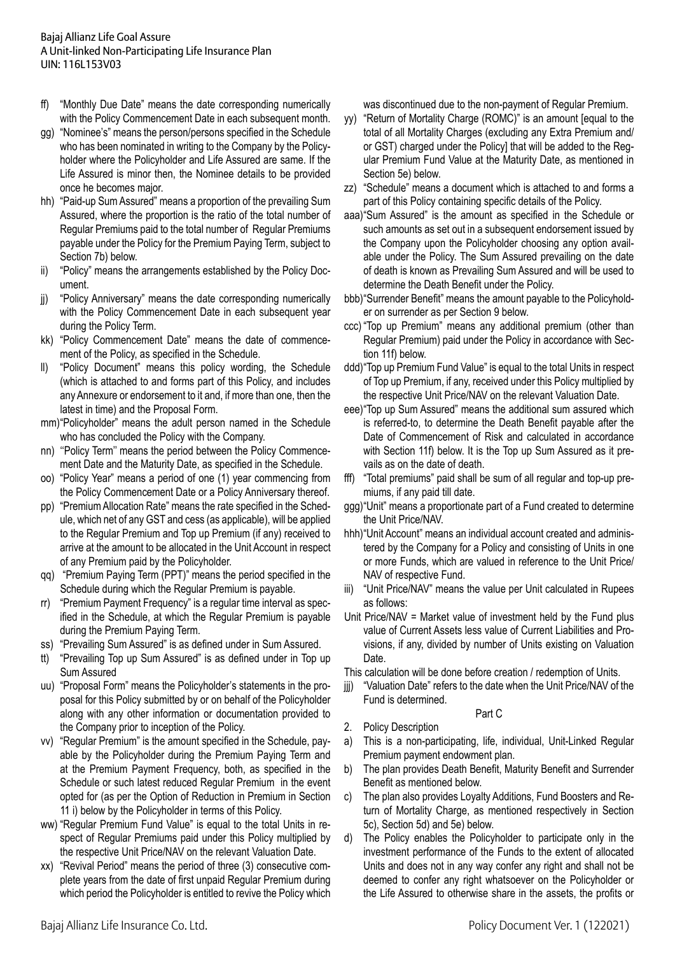- ff) "Monthly Due Date" means the date corresponding numerically with the Policy Commencement Date in each subsequent month.
- gg) "Nominee's" means the person/persons specified in the Schedule who has been nominated in writing to the Company by the Policyholder where the Policyholder and Life Assured are same. If the Life Assured is minor then, the Nominee details to be provided once he becomes major.
- hh) "Paid-up Sum Assured" means a proportion of the prevailing Sum Assured, where the proportion is the ratio of the total number of Regular Premiums paid to the total number of Regular Premiums payable under the Policy for the Premium Paying Term, subject to Section 7b) below.
- ii) "Policy" means the arrangements established by the Policy Document.
- jj) "Policy Anniversary" means the date corresponding numerically with the Policy Commencement Date in each subsequent year during the Policy Term.
- kk) "Policy Commencement Date" means the date of commencement of the Policy, as specified in the Schedule.
- ll) "Policy Document" means this policy wording, the Schedule (which is attached to and forms part of this Policy, and includes any Annexure or endorsement to it and, if more than one, then the latest in time) and the Proposal Form.
- mm)"Policyholder" means the adult person named in the Schedule who has concluded the Policy with the Company.
- nn) ''Policy Term'' means the period between the Policy Commencement Date and the Maturity Date, as specified in the Schedule.
- oo) "Policy Year" means a period of one (1) year commencing from the Policy Commencement Date or a Policy Anniversary thereof.
- pp) "Premium Allocation Rate" means the rate specified in the Schedule, which net of any GST and cess (as applicable), will be applied to the Regular Premium and Top up Premium (if any) received to arrive at the amount to be allocated in the Unit Account in respect of any Premium paid by the Policyholder.
- qq) "Premium Paying Term (PPT)" means the period specified in the Schedule during which the Regular Premium is payable.
- rr) "Premium Payment Frequency" is a regular time interval as specified in the Schedule, at which the Regular Premium is payable during the Premium Paying Term.
- ss) "Prevailing Sum Assured" is as defined under in Sum Assured.
- tt) "Prevailing Top up Sum Assured" is as defined under in Top up Sum Assured
- uu) "Proposal Form" means the Policyholder's statements in the proposal for this Policy submitted by or on behalf of the Policyholder along with any other information or documentation provided to the Company prior to inception of the Policy.
- vv) "Regular Premium" is the amount specified in the Schedule, payable by the Policyholder during the Premium Paying Term and at the Premium Payment Frequency, both, as specified in the Schedule or such latest reduced Regular Premium in the event opted for (as per the Option of Reduction in Premium in Section 11 i) below by the Policyholder in terms of this Policy.
- ww) "Regular Premium Fund Value" is equal to the total Units in respect of Regular Premiums paid under this Policy multiplied by the respective Unit Price/NAV on the relevant Valuation Date.
- xx) "Revival Period" means the period of three (3) consecutive complete years from the date of first unpaid Regular Premium during which period the Policyholder is entitled to revive the Policy which

was discontinued due to the non-payment of Regular Premium.

- yy) "Return of Mortality Charge (ROMC)" is an amount [equal to the total of all Mortality Charges (excluding any Extra Premium and/ or GST) charged under the Policy] that will be added to the Regular Premium Fund Value at the Maturity Date, as mentioned in Section 5e) below.
- zz) "Schedule" means a document which is attached to and forms a part of this Policy containing specific details of the Policy.
- aaa) "Sum Assured" is the amount as specified in the Schedule or such amounts as set out in a subsequent endorsement issued by the Company upon the Policyholder choosing any option available under the Policy. The Sum Assured prevailing on the date of death is known as Prevailing Sum Assured and will be used to determine the Death Benefit under the Policy.
- bbb) "Surrender Benefit" means the amount payable to the Policyholder on surrender as per Section 9 below.
- ccc) "Top up Premium" means any additional premium (other than Regular Premium) paid under the Policy in accordance with Section 11f) below.
- ddd) "Top up Premium Fund Value" is equal to the total Units in respect of Top up Premium, if any, received under this Policy multiplied by the respective Unit Price/NAV on the relevant Valuation Date.
- eee) "Top up Sum Assured" means the additional sum assured which is referred-to, to determine the Death Benefit payable after the Date of Commencement of Risk and calculated in accordance with Section 11f) below. It is the Top up Sum Assured as it prevails as on the date of death.
- fff) "Total premiums" paid shall be sum of all regular and top-up premiums, if any paid till date.
- ggg) "Unit" means a proportionate part of a Fund created to determine the Unit Price/NAV.
- hhh) "Unit Account" means an individual account created and administered by the Company for a Policy and consisting of Units in one or more Funds, which are valued in reference to the Unit Price/ NAV of respective Fund.
- iii) "Unit Price/NAV" means the value per Unit calculated in Rupees as follows:
- Unit Price/NAV = Market value of investment held by the Fund plus value of Current Assets less value of Current Liabilities and Provisions, if any, divided by number of Units existing on Valuation Date.

This calculation will be done before creation / redemption of Units.

jij) "Valuation Date" refers to the date when the Unit Price/NAV of the Fund is determined.

## Part C

- 2. Policy Description
- a) This is a non-participating, life, individual, Unit-Linked Regular Premium payment endowment plan.
- b) The plan provides Death Benefit, Maturity Benefit and Surrender Benefit as mentioned below.
- c) The plan also provides Loyalty Additions, Fund Boosters and Return of Mortality Charge, as mentioned respectively in Section 5c), Section 5d) and 5e) below.
- d) The Policy enables the Policyholder to participate only in the investment performance of the Funds to the extent of allocated Units and does not in any way confer any right and shall not be deemed to confer any right whatsoever on the Policyholder or the Life Assured to otherwise share in the assets, the profits or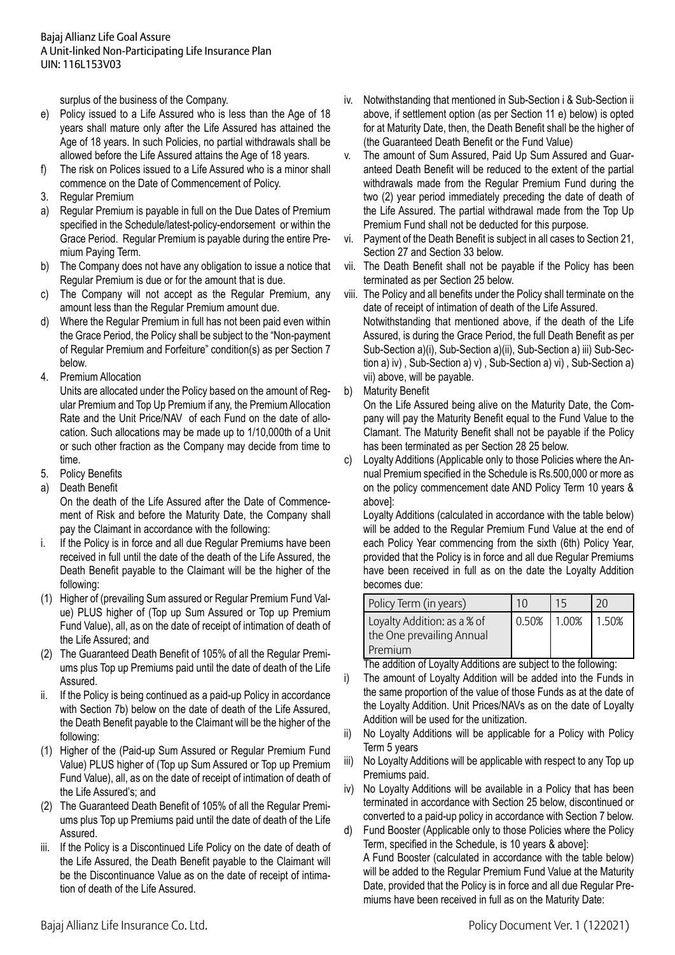surplus of the business of the Company.

- e) Policy issued to a Life Assured who is less than the Age of 18 years shall mature only after the Life Assured has attained the Age of 18 years. In such Policies, no partial withdrawals shall be allowed before the Life Assured attains the Age of 18 years.
- f) The risk on Polices issued to a Life Assured who is a minor shall commence on the Date of Commencement of Policy.
- 3. Regular Premium
- a) Regular Premium is payable in full on the Due Dates of Premium specified in the Schedule/latest-policy-endorsement or within the Grace Period. Regular Premium is payable during the entire Premium Paying Term.
- b) The Company does not have any obligation to issue a notice that Regular Premium is due or for the amount that is due.
- c) The Company will not accept as the Regular Premium, any amount less than the Regular Premium amount due.
- d) Where the Regular Premium in full has not been paid even within the Grace Period, the Policy shall be subject to the "Non-payment of Regular Premium and Forfeiture" condition(s) as per Section 7 below.
- 4. Premium Allocation

 Units are allocated under the Policy based on the amount of Regular Premium and Top Up Premium if any, the PremiumAllocation Rate and the Unit Price/NAV of each Fund on the date of allocation. Such allocations may be made up to 1/10,000th of a Unit or such other fraction as the Company may decide from time to time.

- 5. Policy Benefits
- a) Death Benefit

 On the death of the Life Assured after the Date of Commencement of Risk and before the Maturity Date, the Company shall pay the Claimant in accordance with the following:

- i. If the Policy is in force and all due Regular Premiums have been received in full until the date of the death of the Life Assured, the Death Benefit payable to the Claimant will be the higher of the following:
- (1) Higher of (prevailing Sum assured or Regular Premium Fund Value) PLUS higher of (Top up Sum Assured or Top up Premium Fund Value), all, as on the date of receipt of intimation of death of the Life Assured; and
- (2) The Guaranteed Death Benefit of 105% of all the Regular Premiums plus Top up Premiums paid until the date of death of the Life Assured.
- ii. If the Policy is being continued as a paid-up Policy in accordance with Section 7b) below on the date of death of the Life Assured, the Death Benefit payable to the Claimant will be the higher of the following:
- (1) Higher of the (Paid-up Sum Assured or Regular Premium Fund Value) PLUS higher of (Top up Sum Assured or Top up Premium Fund Value), all, as on the date of receipt of intimation of death of the Life Assured's; and
- (2) The Guaranteed Death Benefit of 105% of all the Regular Premiums plus Top up Premiums paid until the date of death of the Life Assured.
- iii. If the Policy is a Discontinued Life Policy on the date of death of the Life Assured, the Death Benefit payable to the Claimant will be the Discontinuance Value as on the date of receipt of intimation of death of the Life Assured.
- iv. Notwithstanding that mentioned in Sub-Section i & Sub-Section ii above, if settlement option (as per Section 11 e) below) is opted for at Maturity Date, then, the Death Benefit shall be the higher of (the Guaranteed Death Benefit or the Fund Value)
- v. The amount of Sum Assured, Paid Up Sum Assured and Guaranteed Death Benefit will be reduced to the extent of the partial withdrawals made from the Regular Premium Fund during the two (2) year period immediately preceding the date of death of the Life Assured. The partial withdrawal made from the Top Up Premium Fund shall not be deducted for this purpose.
- vi. Payment of the Death Benefit is subject in all cases to Section 21, Section 27 and Section 33 below.
- vii. The Death Benefit shall not be payable if the Policy has been terminated as per Section 25 below.
- viii. The Policy and all benefits under the Policy shall terminate on the date of receipt of intimation of death of the Life Assured.

Notwithstanding that mentioned above, if the death of the Life Assured, is during the Grace Period, the full Death Benefit as per Sub-Section a)(i), Sub-Section a)(ii), Sub-Section a) iii) Sub-Section a) iv) , Sub-Section a) v) , Sub-Section a) vi) , Sub-Section a) vii) above, will be payable.

b) Maturity Benefit

 On the Life Assured being alive on the Maturity Date, the Company will pay the Maturity Benefit equal to the Fund Value to the Clamant. The Maturity Benefit shall not be payable if the Policy has been terminated as per Section 28 25 below.

c) Loyalty Additions (Applicable only to those Policies where the Annual Premium specified in the Schedule is Rs.500,000 or more as on the policy commencement date AND Policy Term 10 years & above]:

 Loyalty Additions (calculated in accordance with the table below) will be added to the Regular Premium Fund Value at the end of each Policy Year commencing from the sixth (6th) Policy Year, provided that the Policy is in force and all due Regular Premiums have been received in full as on the date the Loyalty Addition becomes due:

| Policy Term (in years)                                              |             |       |
|---------------------------------------------------------------------|-------------|-------|
| Loyalty Addition: as a % of<br>the One prevailing Annual<br>Premium | 0.50% 1.00% | 1.50% |

 The addition of Loyalty Additions are subject to the following:

- i) The amount of Loyalty Addition will be added into the Funds in the same proportion of the value of those Funds as at the date of the Loyalty Addition. Unit Prices/NAVs as on the date of Loyalty Addition will be used for the unitization.
- ii) No Loyalty Additions will be applicable for a Policy with Policy Term 5 years
- iii) No Loyalty Additions will be applicable with respect to any Top up Premiums paid.
- iv) No Lovalty Additions will be available in a Policy that has been terminated in accordance with Section 25 below, discontinued or converted to a paid-up policy in accordance with Section 7 below.
- d) Fund Booster (Applicable only to those Policies where the Policy Term, specified in the Schedule, is 10 years & above]: A Fund Booster (calculated in accordance with the table below) will be added to the Regular Premium Fund Value at the Maturity Date, provided that the Policy is in force and all due Regular Pre-

miums have been received in full as on the Maturity Date: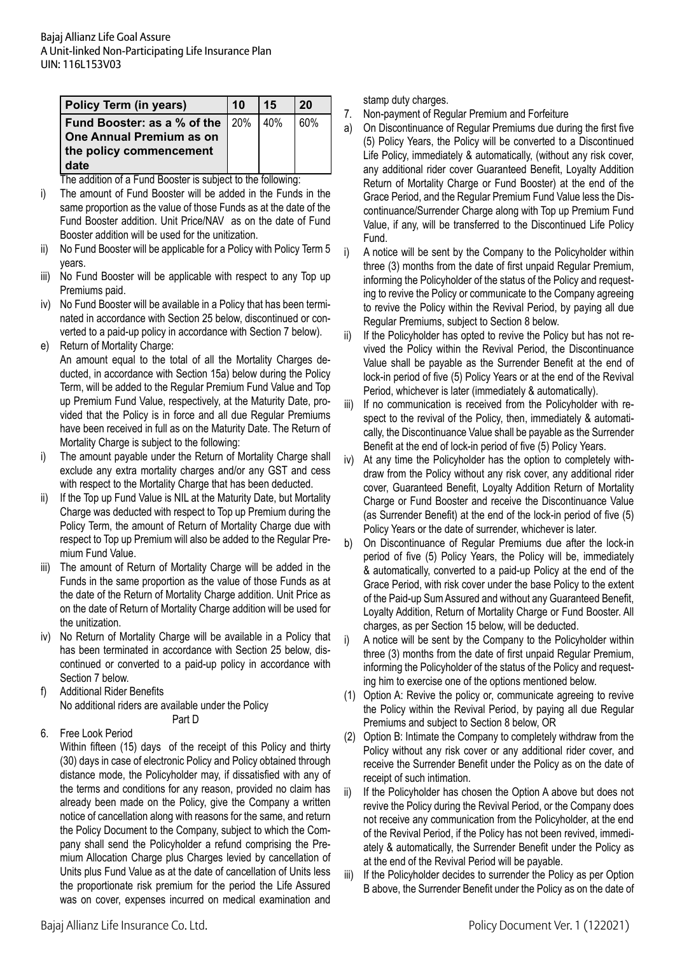| <b>Policy Term (in years)</b>                  | 10 | 15 | 20  |
|------------------------------------------------|----|----|-----|
| <b>Fund Booster: as a % of the   20%   40%</b> |    |    | 60% |
| One Annual Premium as on                       |    |    |     |
| the policy commencement                        |    |    |     |
| date                                           |    |    |     |

 The addition of a Fund Booster is subject to the following:

- i) The amount of Fund Booster will be added in the Funds in the same proportion as the value of those Funds as at the date of the Fund Booster addition. Unit Price/NAV as on the date of Fund Booster addition will be used for the unitization.
- ii) No Fund Booster will be applicable for a Policy with Policy Term 5 years.
- iii) No Fund Booster will be applicable with respect to any Top up Premiums paid.
- iv) No Fund Booster will be available in a Policy that has been terminated in accordance with Section 25 below, discontinued or converted to a paid-up policy in accordance with Section 7 below).
- e) Return of Mortality Charge:

 An amount equal to the total of all the Mortality Charges deducted, in accordance with Section 15a) below during the Policy Term, will be added to the Regular Premium Fund Value and Top up Premium Fund Value, respectively, at the Maturity Date, provided that the Policy is in force and all due Regular Premiums have been received in full as on the Maturity Date. The Return of Mortality Charge is subject to the following:

- i) The amount payable under the Return of Mortality Charge shall exclude any extra mortality charges and/or any GST and cess with respect to the Mortality Charge that has been deducted.
- ii) If the Top up Fund Value is NIL at the Maturity Date, but Mortality Charge was deducted with respect to Top up Premium during the Policy Term, the amount of Return of Mortality Charge due with respect to Top up Premium will also be added to the Regular Premium Fund Value.
- iii) The amount of Return of Mortality Charge will be added in the Funds in the same proportion as the value of those Funds as at the date of the Return of Mortality Charge addition. Unit Price as on the date of Return of Mortality Charge addition will be used for the unitization.
- iv) No Return of Mortality Charge will be available in a Policy that has been terminated in accordance with Section 25 below, discontinued or converted to a paid-up policy in accordance with Section 7 below.
- f) Additional Rider Benefits No additional riders are available under the Policy Part D
- 6. Free Look Period

 Within fifteen (15) days of the receipt of this Policy and thirty (30) days in case of electronic Policy and Policy obtained through distance mode, the Policyholder may, if dissatisfied with any of the terms and conditions for any reason, provided no claim has already been made on the Policy, give the Company a written notice of cancellation along with reasons for the same, and return the Policy Document to the Company, subject to which the Company shall send the Policyholder a refund comprising the Premium Allocation Charge plus Charges levied by cancellation of Units plus Fund Value as at the date of cancellation of Units less the proportionate risk premium for the period the Life Assured was on cover, expenses incurred on medical examination and

stamp duty charges.

- 7. Non-payment of Regular Premium and Forfeiture
- a) On Discontinuance of Regular Premiums due during the first five (5) Policy Years, the Policy will be converted to a Discontinued Life Policy, immediately & automatically, (without any risk cover, any additional rider cover Guaranteed Benefit, Loyalty Addition Return of Mortality Charge or Fund Booster) at the end of the Grace Period, and the Regular Premium Fund Value less the Discontinuance/Surrender Charge along with Top up Premium Fund Value, if any, will be transferred to the Discontinued Life Policy Fund.
- i) A notice will be sent by the Company to the Policyholder within three (3) months from the date of first unpaid Regular Premium, informing the Policyholder of the status of the Policy and requesting to revive the Policy or communicate to the Company agreeing to revive the Policy within the Revival Period, by paying all due Regular Premiums, subject to Section 8 below.
- ii) If the Policyholder has opted to revive the Policy but has not revived the Policy within the Revival Period, the Discontinuance Value shall be payable as the Surrender Benefit at the end of lock-in period of five (5) Policy Years or at the end of the Revival Period, whichever is later (immediately & automatically).
- iii) If no communication is received from the Policyholder with respect to the revival of the Policy, then, immediately & automatically, the Discontinuance Value shall be payable as the Surrender Benefit at the end of lock-in period of five (5) Policy Years.
- iv) At any time the Policyholder has the option to completely withdraw from the Policy without any risk cover, any additional rider cover, Guaranteed Benefit, Loyalty Addition Return of Mortality Charge or Fund Booster and receive the Discontinuance Value (as Surrender Benefit) at the end of the lock-in period of five (5) Policy Years or the date of surrender, whichever is later.
- b) On Discontinuance of Regular Premiums due after the lock-in period of five (5) Policy Years, the Policy will be, immediately & automatically, converted to a paid-up Policy at the end of the Grace Period, with risk cover under the base Policy to the extent of the Paid-up SumAssured and without any Guaranteed Benefit, Loyalty Addition, Return of Mortality Charge or Fund Booster. All charges, as per Section 15 below, will be deducted.
- i) A notice will be sent by the Company to the Policyholder within three (3) months from the date of first unpaid Regular Premium, informing the Policyholder of the status of the Policy and requesting him to exercise one of the options mentioned below.
- (1) Option A: Revive the policy or, communicate agreeing to revive the Policy within the Revival Period, by paying all due Regular Premiums and subject to Section 8 below, OR
- (2) Option B: Intimate the Company to completely withdraw from the Policy without any risk cover or any additional rider cover, and receive the Surrender Benefit under the Policy as on the date of receipt of such intimation.
- ii) If the Policyholder has chosen the Option A above but does not revive the Policy during the Revival Period, or the Company does not receive any communication from the Policyholder, at the end of the Revival Period, if the Policy has not been revived, immediately & automatically, the Surrender Benefit under the Policy as at the end of the Revival Period will be payable.
- iii) If the Policyholder decides to surrender the Policy as per Option B above, the Surrender Benefit under the Policy as on the date of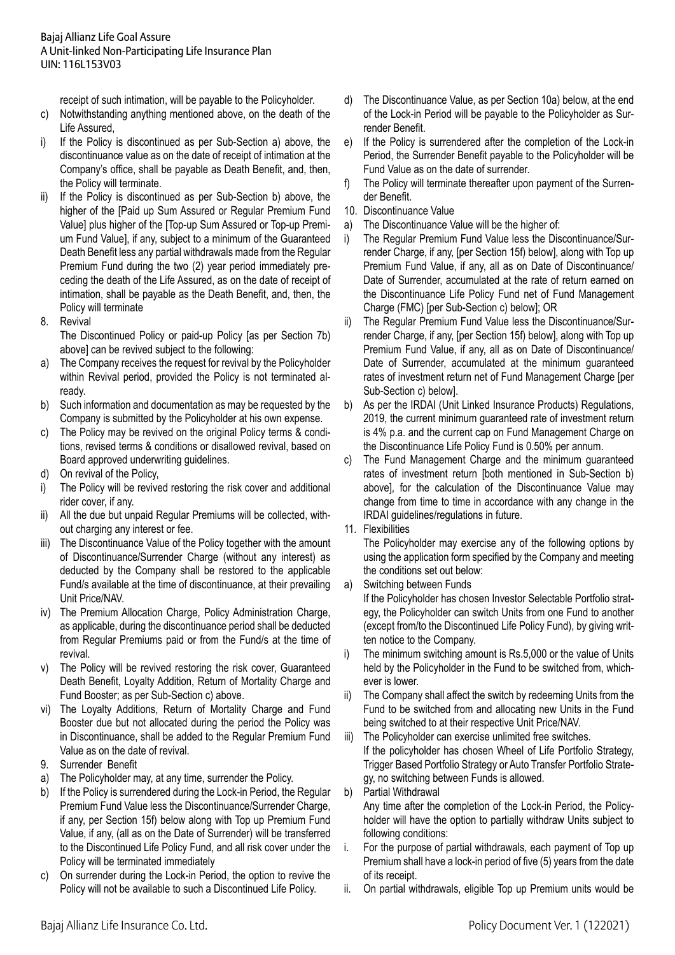receipt of such intimation, will be payable to the Policyholder.

- c) Notwithstanding anything mentioned above, on the death of the Life Assured,
- i) If the Policy is discontinued as per Sub-Section a) above, the discontinuance value as on the date of receipt of intimation at the Company's office, shall be payable as Death Benefit, and, then, the Policy will terminate.
- ii) If the Policy is discontinued as per Sub-Section b) above, the higher of the [Paid up Sum Assured or Regular Premium Fund Value] plus higher of the [Top-up Sum Assured or Top-up Premium Fund Value], if any, subject to a minimum of the Guaranteed Death Benefit less any partial withdrawals made from the Regular Premium Fund during the two (2) year period immediately preceding the death of the Life Assured, as on the date of receipt of intimation, shall be payable as the Death Benefit, and, then, the Policy will terminate
- 8. Revival

 The Discontinued Policy or paid-up Policy [as per Section 7b) above] can be revived subject to the following:

- a) The Company receives the request for revival by the Policyholder within Revival period, provided the Policy is not terminated already.
- b) Such information and documentation as may be requested by the Company is submitted by the Policyholder at his own expense.
- c) The Policy may be revived on the original Policy terms & conditions, revised terms & conditions or disallowed revival, based on Board approved underwriting guidelines.
- d) On revival of the Policy,
- i) The Policy will be revived restoring the risk cover and additional rider cover, if any.
- ii) All the due but unpaid Regular Premiums will be collected, without charging any interest or fee.
- iii) The Discontinuance Value of the Policy together with the amount of Discontinuance/Surrender Charge (without any interest) as deducted by the Company shall be restored to the applicable Fund/s available at the time of discontinuance, at their prevailing Unit Price/NAV.
- iv) The Premium Allocation Charge, Policy Administration Charge, as applicable, during the discontinuance period shall be deducted from Regular Premiums paid or from the Fund/s at the time of revival.
- v) The Policy will be revived restoring the risk cover, Guaranteed Death Benefit, Loyalty Addition, Return of Mortality Charge and Fund Booster; as per Sub-Section c) above.
- vi) The Loyalty Additions, Return of Mortality Charge and Fund Booster due but not allocated during the period the Policy was in Discontinuance, shall be added to the Regular Premium Fund Value as on the date of revival.
- 9. Surrender Benefit
- a) The Policyholder may, at any time, surrender the Policy.
- b) If the Policy is surrendered during the Lock-in Period, the Regular Premium Fund Value less the Discontinuance/Surrender Charge, if any, per Section 15f) below along with Top up Premium Fund Value, if any, (all as on the Date of Surrender) will be transferred to the Discontinued Life Policy Fund, and all risk cover under the Policy will be terminated immediately
- c) On surrender during the Lock-in Period, the option to revive the Policy will not be available to such a Discontinued Life Policy.
- d) The Discontinuance Value, as per Section 10a) below, at the end of the Lock-in Period will be payable to the Policyholder as Surrender Benefit.
- e) If the Policy is surrendered after the completion of the Lock-in Period, the Surrender Benefit payable to the Policyholder will be Fund Value as on the date of surrender.
- f) The Policy will terminate thereafter upon payment of the Surrender Benefit.
- 10. Discontinuance Value
- a) The Discontinuance Value will be the higher of:
- i) The Regular Premium Fund Value less the Discontinuance/Surrender Charge, if any, [per Section 15f) below], along with Top up Premium Fund Value, if any, all as on Date of Discontinuance/ Date of Surrender, accumulated at the rate of return earned on the Discontinuance Life Policy Fund net of Fund Management Charge (FMC) [per Sub-Section c) below]; OR
- ii) The Regular Premium Fund Value less the Discontinuance/Surrender Charge, if any, [per Section 15f) below], along with Top up Premium Fund Value, if any, all as on Date of Discontinuance/ Date of Surrender, accumulated at the minimum guaranteed rates of investment return net of Fund Management Charge [per Sub-Section c) below].
- b) As per the IRDAI (Unit Linked Insurance Products) Regulations, 2019, the current minimum guaranteed rate of investment return is 4% p.a. and the current cap on Fund Management Charge on the Discontinuance Life Policy Fund is 0.50% per annum.
- c) The Fund Management Charge and the minimum guaranteed rates of investment return [both mentioned in Sub-Section b) above], for the calculation of the Discontinuance Value may change from time to time in accordance with any change in the IRDAI guidelines/regulations in future.
- 11. Flexibilities

The Policyholder may exercise any of the following options by using the application form specified by the Company and meeting the conditions set out below:

a) Switching between Funds

If the Policyholder has chosen Investor Selectable Portfolio strategy, the Policyholder can switch Units from one Fund to another (except from/to the Discontinued Life Policy Fund), by giving written notice to the Company.

- i) The minimum switching amount is Rs.5,000 or the value of Units held by the Policyholder in the Fund to be switched from, whichever is lower.
- ii) The Company shall affect the switch by redeeming Units from the Fund to be switched from and allocating new Units in the Fund being switched to at their respective Unit Price/NAV.
- iii) The Policyholder can exercise unlimited free switches. If the policyholder has chosen Wheel of Life Portfolio Strategy, Trigger Based Portfolio Strategy or Auto Transfer Portfolio Strategy, no switching between Funds is allowed.
- b) Partial Withdrawal

 Any time after the completion of the Lock-in Period, the Policyholder will have the option to partially withdraw Units subject to following conditions:

- i. For the purpose of partial withdrawals, each payment of Top up Premium shall have a lock-in period of five (5) years from the date of its receipt.
- ii. On partial withdrawals, eligible Top up Premium units would be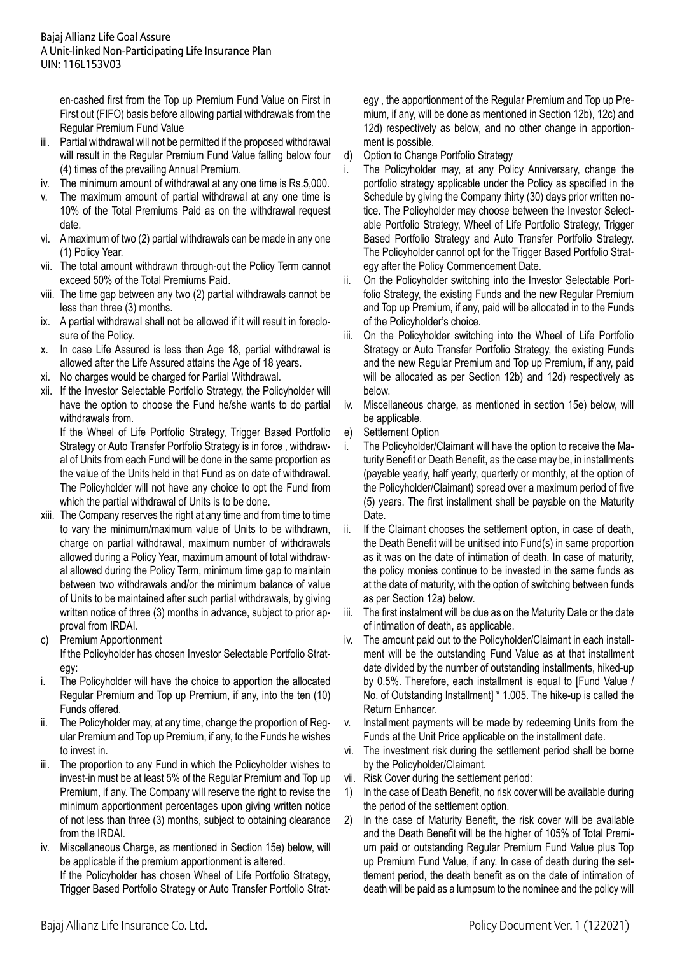en-cashed first from the Top up Premium Fund Value on First in First out (FIFO) basis before allowing partial withdrawals from the Regular Premium Fund Value

- iii. Partial withdrawal will not be permitted if the proposed withdrawal will result in the Regular Premium Fund Value falling below four (4) times of the prevailing Annual Premium.
- iv. The minimum amount of withdrawal at any one time is Rs.5,000.
- v. The maximum amount of partial withdrawal at any one time is 10% of the Total Premiums Paid as on the withdrawal request date.
- vi. A maximum of two (2) partial withdrawals can be made in any one (1) Policy Year.
- vii. The total amount withdrawn through-out the Policy Term cannot exceed 50% of the Total Premiums Paid.
- viii. The time gap between any two (2) partial withdrawals cannot be less than three (3) months.
- ix. A partial withdrawal shall not be allowed if it will result in foreclosure of the Policy.
- x. In case Life Assured is less than Age 18, partial withdrawal is allowed after the Life Assured attains the Age of 18 years.
- xi. No charges would be charged for Partial Withdrawal.
- xii. If the Investor Selectable Portfolio Strategy, the Policyholder will have the option to choose the Fund he/she wants to do partial withdrawals from.

If the Wheel of Life Portfolio Strategy, Trigger Based Portfolio Strategy or Auto Transfer Portfolio Strategy is in force , withdrawal of Units from each Fund will be done in the same proportion as the value of the Units held in that Fund as on date of withdrawal. The Policyholder will not have any choice to opt the Fund from which the partial withdrawal of Units is to be done.

- xiii. The Company reserves the right at any time and from time to time to vary the minimum/maximum value of Units to be withdrawn, charge on partial withdrawal, maximum number of withdrawals allowed during a Policy Year, maximum amount of total withdrawal allowed during the Policy Term, minimum time gap to maintain between two withdrawals and/or the minimum balance of value of Units to be maintained after such partial withdrawals, by giving written notice of three (3) months in advance, subject to prior approval from IRDAI.
- c) Premium Apportionment If the Policyholder has chosen Investor Selectable Portfolio Strategy:
- i. The Policyholder will have the choice to apportion the allocated Regular Premium and Top up Premium, if any, into the ten (10) Funds offered.
- ii. The Policyholder may, at any time, change the proportion of Regular Premium and Top up Premium, if any, to the Funds he wishes to invest in.
- iii. The proportion to any Fund in which the Policyholder wishes to invest-in must be at least 5% of the Regular Premium and Top up Premium, if any. The Company will reserve the right to revise the minimum apportionment percentages upon giving written notice of not less than three (3) months, subject to obtaining clearance from the IRDAI.

iv. Miscellaneous Charge, as mentioned in Section 15e) below, will be applicable if the premium apportionment is altered. If the Policyholder has chosen Wheel of Life Portfolio Strategy, Trigger Based Portfolio Strategy or Auto Transfer Portfolio Strategy , the apportionment of the Regular Premium and Top up Premium, if any, will be done as mentioned in Section 12b), 12c) and 12d) respectively as below, and no other change in apportionment is possible.

- d) Option to Change Portfolio Strategy
- i. The Policyholder may, at any Policy Anniversary, change the portfolio strategy applicable under the Policy as specified in the Schedule by giving the Company thirty (30) days prior written notice. The Policyholder may choose between the Investor Selectable Portfolio Strategy, Wheel of Life Portfolio Strategy, Trigger Based Portfolio Strategy and Auto Transfer Portfolio Strategy. The Policyholder cannot opt for the Trigger Based Portfolio Strategy after the Policy Commencement Date.
- ii. On the Policyholder switching into the Investor Selectable Portfolio Strategy, the existing Funds and the new Regular Premium and Top up Premium, if any, paid will be allocated in to the Funds of the Policyholder's choice.
- iii. On the Policyholder switching into the Wheel of Life Portfolio Strategy or Auto Transfer Portfolio Strategy, the existing Funds and the new Regular Premium and Top up Premium, if any, paid will be allocated as per Section 12b) and 12d) respectively as below.
- iv. Miscellaneous charge, as mentioned in section 15e) below, will be applicable.
- e) Settlement Option
- i. The Policyholder/Claimant will have the option to receive the Maturity Benefit or Death Benefit, as the case may be, in installments (payable yearly, half yearly, quarterly or monthly, at the option of the Policyholder/Claimant) spread over a maximum period of five (5) years. The first installment shall be payable on the Maturity Date.
- ii. If the Claimant chooses the settlement option, in case of death, the Death Benefit will be unitised into Fund(s) in same proportion as it was on the date of intimation of death. In case of maturity, the policy monies continue to be invested in the same funds as at the date of maturity, with the option of switching between funds as per Section 12a) below.
- iii. The first instalment will be due as on the Maturity Date or the date of intimation of death, as applicable.
- iv. The amount paid out to the Policyholder/Claimant in each installment will be the outstanding Fund Value as at that installment date divided by the number of outstanding installments, hiked-up by 0.5%. Therefore, each installment is equal to [Fund Value / No. of Outstanding Installment] \* 1.005. The hike-up is called the Return Enhancer.
- v. Installment payments will be made by redeeming Units from the Funds at the Unit Price applicable on the installment date.
- vi. The investment risk during the settlement period shall be borne by the Policyholder/Claimant.
- vii. Risk Cover during the settlement period:
- 1) In the case of Death Benefit, no risk cover will be available during the period of the settlement option.
- 2) In the case of Maturity Benefit, the risk cover will be available and the Death Benefit will be the higher of 105% of Total Premium paid or outstanding Regular Premium Fund Value plus Top up Premium Fund Value, if any. In case of death during the settlement period, the death benefit as on the date of intimation of death will be paid as a lumpsum to the nominee and the policy will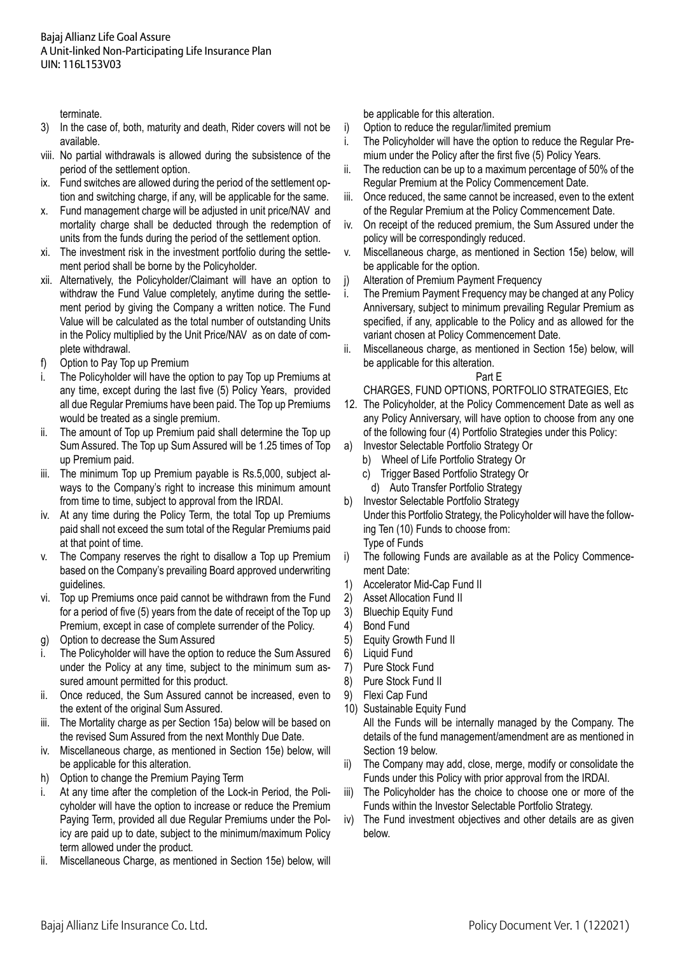terminate.

- 3) In the case of, both, maturity and death, Rider covers will not be available.
- viii. No partial withdrawals is allowed during the subsistence of the period of the settlement option.
- ix. Fund switches are allowed during the period of the settlement option and switching charge, if any, will be applicable for the same.
- x. Fund management charge will be adjusted in unit price/NAV and mortality charge shall be deducted through the redemption of units from the funds during the period of the settlement option.
- xi. The investment risk in the investment portfolio during the settlement period shall be borne by the Policyholder.
- xii. Alternatively, the Policyholder/Claimant will have an option to withdraw the Fund Value completely, anytime during the settlement period by giving the Company a written notice. The Fund Value will be calculated as the total number of outstanding Units in the Policy multiplied by the Unit Price/NAV as on date of complete withdrawal.
- f) Option to Pay Top up Premium
- i. The Policyholder will have the option to pay Top up Premiums at any time, except during the last five (5) Policy Years, provided all due Regular Premiums have been paid. The Top up Premiums would be treated as a single premium.
- ii. The amount of Top up Premium paid shall determine the Top up Sum Assured. The Top up Sum Assured will be 1.25 times of Top up Premium paid.
- iii. The minimum Top up Premium payable is Rs.5,000, subject always to the Company's right to increase this minimum amount from time to time, subject to approval from the IRDAI.
- iv. At any time during the Policy Term, the total Top up Premiums paid shall not exceed the sum total of the Regular Premiums paid at that point of time.
- v. The Company reserves the right to disallow a Top up Premium based on the Company's prevailing Board approved underwriting guidelines.
- vi. Top up Premiums once paid cannot be withdrawn from the Fund for a period of five (5) years from the date of receipt of the Top up Premium, except in case of complete surrender of the Policy.
- g) Option to decrease the Sum Assured
- i. The Policyholder will have the option to reduce the Sum Assured under the Policy at any time, subject to the minimum sum assured amount permitted for this product.
- ii. Once reduced, the Sum Assured cannot be increased, even to the extent of the original Sum Assured.
- iii. The Mortality charge as per Section 15a) below will be based on the revised Sum Assured from the next Monthly Due Date.
- iv. Miscellaneous charge, as mentioned in Section 15e) below, will be applicable for this alteration.
- h) Option to change the Premium Paying Term
- i. At any time after the completion of the Lock-in Period, the Policyholder will have the option to increase or reduce the Premium Paying Term, provided all due Regular Premiums under the Policy are paid up to date, subject to the minimum/maximum Policy term allowed under the product.
- ii. Miscellaneous Charge, as mentioned in Section 15e) below, will

be applicable for this alteration.

- i) Option to reduce the regular/limited premium
- i. The Policyholder will have the option to reduce the Regular Premium under the Policy after the first five (5) Policy Years.
- $ii.$  The reduction can be up to a maximum percentage of 50% of the Regular Premium at the Policy Commencement Date.
- iii. Once reduced, the same cannot be increased, even to the extent of the Regular Premium at the Policy Commencement Date.
- iv. On receipt of the reduced premium, the Sum Assured under the policy will be correspondingly reduced.
- v. Miscellaneous charge, as mentioned in Section 15e) below, will be applicable for the option.
- j) Alteration of Premium Payment Frequency
- i. The Premium Payment Frequency may be changed at any Policy Anniversary, subject to minimum prevailing Regular Premium as specified, if any, applicable to the Policy and as allowed for the variant chosen at Policy Commencement Date.
- ii. Miscellaneous charge, as mentioned in Section 15e) below, will be applicable for this alteration.

## Part E

# CHARGES, FUND OPTIONS, PORTFOLIO STRATEGIES, Etc

- 12. The Policyholder, at the Policy Commencement Date as well as any Policy Anniversary, will have option to choose from any one of the following four (4) Portfolio Strategies under this Policy:
- a) Investor Selectable Portfolio Strategy Or
	- b) Wheel of Life Portfolio Strategy Or
	- c) Trigger Based Portfolio Strategy Or
	- d) Auto Transfer Portfolio Strategy
- b) Investor Selectable Portfolio Strategy Under this Portfolio Strategy, the Policyholder will have the following Ten (10) Funds to choose from: Type of Funds
- i) The following Funds are available as at the Policy Commencement Date:
- 1) Accelerator Mid-Cap Fund II
- 2) Asset Allocation Fund II
- 3) Bluechip Equity Fund
- 4) Bond Fund
- 5) Equity Growth Fund II
- 6) Liquid Fund
- 7) Pure Stock Fund
- 8) Pure Stock Fund II
- 9) Flexi Cap Fund
- 10) Sustainable Equity Fund

 All the Funds will be internally managed by the Company. The details of the fund management/amendment are as mentioned in Section 19 below.

- ii) The Company may add, close, merge, modify or consolidate the Funds under this Policy with prior approval from the IRDAI.
- iii) The Policyholder has the choice to choose one or more of the Funds within the Investor Selectable Portfolio Strategy.
- iv) The Fund investment objectives and other details are as given below.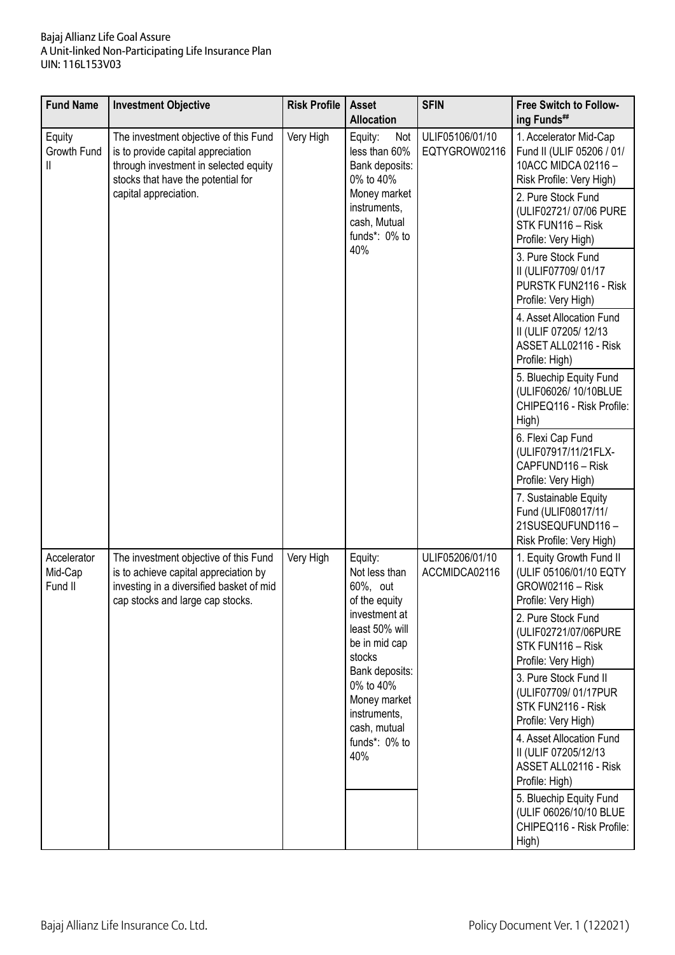| <b>Fund Name</b>                  | <b>Investment Objective</b>                                                                                                                                                                                                                                                                                                                | <b>Risk Profile</b> | <b>Asset</b><br><b>Allocation</b>                                                                                                         | <b>SFIN</b>                      | <b>Free Switch to Follow-</b><br>ing Funds##                                                          |
|-----------------------------------|--------------------------------------------------------------------------------------------------------------------------------------------------------------------------------------------------------------------------------------------------------------------------------------------------------------------------------------------|---------------------|-------------------------------------------------------------------------------------------------------------------------------------------|----------------------------------|-------------------------------------------------------------------------------------------------------|
| Equity<br>Growth Fund<br>Ш        | Very High<br>The investment objective of this Fund<br>Equity:<br>Not<br>less than 60%<br>is to provide capital appreciation<br>through investment in selected equity<br>Bank deposits:<br>stocks that have the potential for<br>0% to 40%<br>capital appreciation.<br>Money market<br>instruments,<br>cash, Mutual<br>funds*: 0% to<br>40% |                     |                                                                                                                                           | ULIF05106/01/10<br>EQTYGROW02116 | 1. Accelerator Mid-Cap<br>Fund II (ULIF 05206 / 01/<br>10ACC MIDCA 02116-<br>Risk Profile: Very High) |
|                                   |                                                                                                                                                                                                                                                                                                                                            |                     |                                                                                                                                           |                                  | 2. Pure Stock Fund<br>(ULIF02721/07/06 PURE<br>STK FUN116 - Risk<br>Profile: Very High)               |
|                                   |                                                                                                                                                                                                                                                                                                                                            |                     | 3. Pure Stock Fund<br>II (ULIF07709/01/17<br>PURSTK FUN2116 - Risk<br>Profile: Very High)                                                 |                                  |                                                                                                       |
|                                   |                                                                                                                                                                                                                                                                                                                                            |                     |                                                                                                                                           |                                  | 4. Asset Allocation Fund<br>II (ULIF 07205/12/13)<br>ASSET ALL02116 - Risk<br>Profile: High)          |
|                                   |                                                                                                                                                                                                                                                                                                                                            |                     |                                                                                                                                           |                                  | 5. Bluechip Equity Fund<br>(ULIF06026/ 10/10BLUE<br>CHIPEQ116 - Risk Profile:<br>High)                |
|                                   |                                                                                                                                                                                                                                                                                                                                            |                     |                                                                                                                                           |                                  | 6. Flexi Cap Fund<br>(ULIF07917/11/21FLX-<br>CAPFUND116 - Risk<br>Profile: Very High)                 |
|                                   |                                                                                                                                                                                                                                                                                                                                            |                     |                                                                                                                                           |                                  | 7. Sustainable Equity<br>Fund (ULIF08017/11/<br>21SUSEQUFUND116-<br>Risk Profile: Very High)          |
| Accelerator<br>Mid-Cap<br>Fund II | The investment objective of this Fund<br>is to achieve capital appreciation by<br>investing in a diversified basket of mid<br>cap stocks and large cap stocks.                                                                                                                                                                             | Very High           | Equity:<br>Not less than<br>60%, out<br>of the equity                                                                                     | ULIF05206/01/10<br>ACCMIDCA02116 | 1. Equity Growth Fund II<br>(ULIF 05106/01/10 EQTY<br>GROW02116 - Risk<br>Profile: Very High)         |
|                                   |                                                                                                                                                                                                                                                                                                                                            |                     | investment at<br>least 50% will<br>be in mid cap<br>stocks<br>Bank deposits:<br>0% to 40%<br>Money market<br>instruments,<br>cash, mutual |                                  | 2. Pure Stock Fund<br>(ULIF02721/07/06PURE<br>STK FUN116 - Risk<br>Profile: Very High)                |
|                                   |                                                                                                                                                                                                                                                                                                                                            |                     |                                                                                                                                           |                                  | 3. Pure Stock Fund II<br>(ULIF07709/01/17PUR<br>STK FUN2116 - Risk<br>Profile: Very High)             |
|                                   |                                                                                                                                                                                                                                                                                                                                            |                     | funds*: 0% to<br>40%                                                                                                                      |                                  | 4. Asset Allocation Fund<br>II (ULIF 07205/12/13<br>ASSET ALL02116 - Risk<br>Profile: High)           |
|                                   |                                                                                                                                                                                                                                                                                                                                            |                     |                                                                                                                                           |                                  | 5. Bluechip Equity Fund<br>(ULIF 06026/10/10 BLUE<br>CHIPEQ116 - Risk Profile:<br>High)               |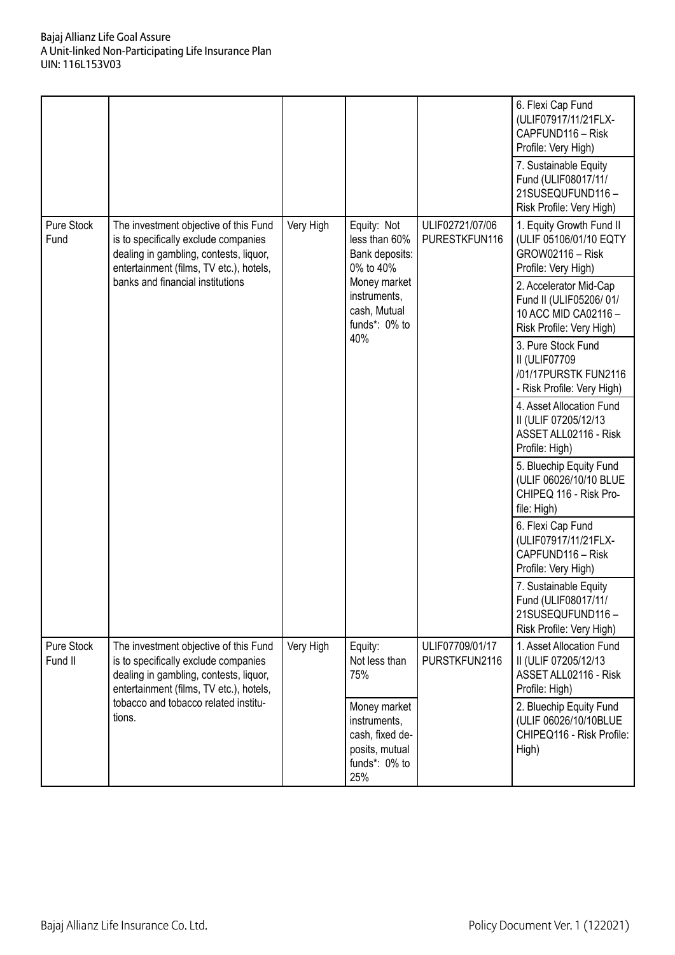|                       |                                                                                                                                                                                                        |           |                                                                                           |                                  | 6. Flexi Cap Fund<br>(ULIF07917/11/21FLX-<br>CAPFUND116 - Risk<br>Profile: Very High)<br>7. Sustainable Equity<br>Fund (ULIF08017/11/<br>21SUSEQUFUND116-<br>Risk Profile: Very High) |
|-----------------------|--------------------------------------------------------------------------------------------------------------------------------------------------------------------------------------------------------|-----------|-------------------------------------------------------------------------------------------|----------------------------------|---------------------------------------------------------------------------------------------------------------------------------------------------------------------------------------|
| Pure Stock<br>Fund    | The investment objective of this Fund<br>is to specifically exclude companies<br>dealing in gambling, contests, liquor,<br>entertainment (films, TV etc.), hotels,<br>banks and financial institutions | Very High | Equity: Not<br>less than 60%<br>Bank deposits:<br>0% to 40%<br>Money market               | ULIF02721/07/06<br>PURESTKFUN116 | 1. Equity Growth Fund II<br>(ULIF 05106/01/10 EQTY<br>GROW02116 - Risk<br>Profile: Very High)                                                                                         |
|                       |                                                                                                                                                                                                        |           | instruments,<br>cash, Mutual<br>funds*: 0% to<br>40%                                      |                                  | 2. Accelerator Mid-Cap<br>Fund II (ULIF05206/01/<br>10 ACC MID CA02116-<br>Risk Profile: Very High)                                                                                   |
|                       |                                                                                                                                                                                                        |           |                                                                                           |                                  | 3. Pure Stock Fund<br>II (ULIF07709<br>/01/17PURSTK FUN2116<br>- Risk Profile: Very High)                                                                                             |
|                       |                                                                                                                                                                                                        |           |                                                                                           |                                  | 4. Asset Allocation Fund<br>II (ULIF 07205/12/13<br>ASSET ALL02116 - Risk<br>Profile: High)                                                                                           |
|                       |                                                                                                                                                                                                        |           |                                                                                           |                                  | 5. Bluechip Equity Fund<br>(ULIF 06026/10/10 BLUE<br>CHIPEQ 116 - Risk Pro-<br>file: High)                                                                                            |
|                       |                                                                                                                                                                                                        |           |                                                                                           |                                  | 6. Flexi Cap Fund<br>(ULIF07917/11/21FLX-<br>CAPFUND116 - Risk<br>Profile: Very High)                                                                                                 |
|                       |                                                                                                                                                                                                        |           |                                                                                           |                                  | 7. Sustainable Equity<br>Fund (ULIF08017/11/<br>21SUSEQUFUND116-<br>Risk Profile: Very High)                                                                                          |
| Pure Stock<br>Fund II | The investment objective of this Fund<br>is to specifically exclude companies<br>dealing in gambling, contests, liquor,<br>entertainment (films, TV etc.), hotels,                                     | Very High | Equity:<br>Not less than<br>75%                                                           | ULIF07709/01/17<br>PURSTKFUN2116 | 1. Asset Allocation Fund<br>II (ULIF 07205/12/13<br>ASSET ALL02116 - Risk<br>Profile: High)                                                                                           |
|                       | tobacco and tobacco related institu-<br>tions.                                                                                                                                                         |           | Money market<br>instruments,<br>cash, fixed de-<br>posits, mutual<br>funds*: 0% to<br>25% |                                  | 2. Bluechip Equity Fund<br>(ULIF 06026/10/10BLUE<br>CHIPEQ116 - Risk Profile:<br>High)                                                                                                |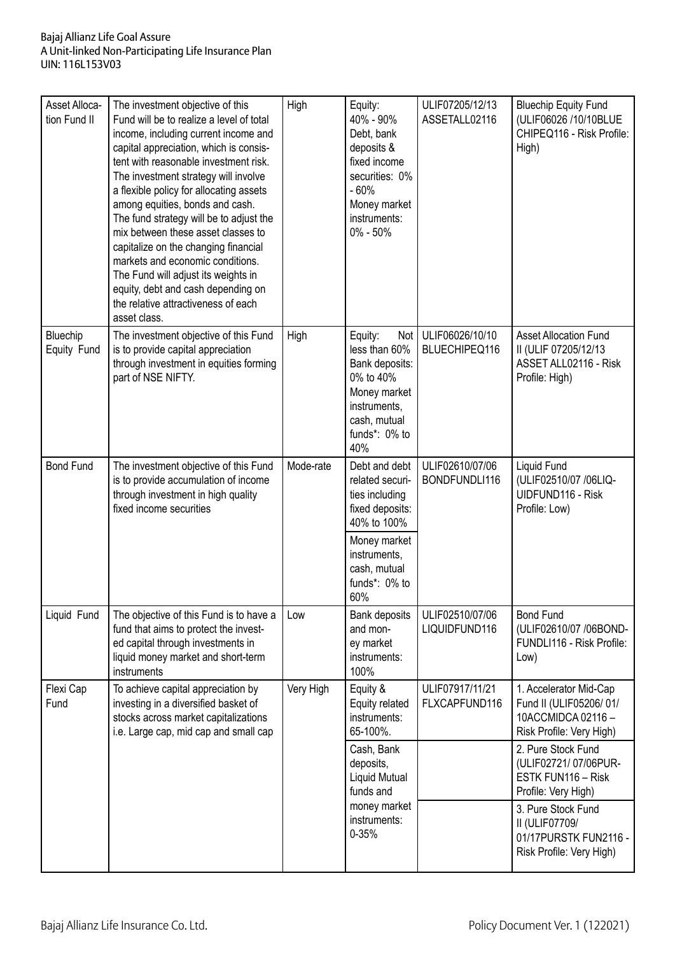| Asset Alloca-<br>tion Fund II | The investment objective of this<br>Fund will be to realize a level of total<br>income, including current income and<br>capital appreciation, which is consis-<br>tent with reasonable investment risk.<br>The investment strategy will involve<br>a flexible policy for allocating assets<br>among equities, bonds and cash.<br>The fund strategy will be to adjust the<br>mix between these asset classes to<br>capitalize on the changing financial<br>markets and economic conditions.<br>The Fund will adjust its weights in<br>equity, debt and cash depending on<br>the relative attractiveness of each<br>asset class. | High      | Equity:<br>40% - 90%<br>Debt, bank<br>deposits &<br>fixed income<br>securities: 0%<br>$-60%$<br>Money market<br>instruments:<br>$0\% - 50\%$                 | ULIF07205/12/13<br>ASSETALL02116 | <b>Bluechip Equity Fund</b><br>(ULIF06026 /10/10BLUE<br>CHIPEQ116 - Risk Profile:<br>High)        |
|-------------------------------|--------------------------------------------------------------------------------------------------------------------------------------------------------------------------------------------------------------------------------------------------------------------------------------------------------------------------------------------------------------------------------------------------------------------------------------------------------------------------------------------------------------------------------------------------------------------------------------------------------------------------------|-----------|--------------------------------------------------------------------------------------------------------------------------------------------------------------|----------------------------------|---------------------------------------------------------------------------------------------------|
| Bluechip<br>Equity Fund       | The investment objective of this Fund<br>is to provide capital appreciation<br>through investment in equities forming<br>part of NSE NIFTY.                                                                                                                                                                                                                                                                                                                                                                                                                                                                                    | High      | Equity:<br>Not  <br>less than 60%<br>Bank deposits:<br>0% to 40%<br>Money market<br>instruments,<br>cash, mutual<br>funds*: 0% to<br>40%                     | ULIF06026/10/10<br>BLUECHIPEQ116 | <b>Asset Allocation Fund</b><br>II (ULIF 07205/12/13<br>ASSET ALL02116 - Risk<br>Profile: High)   |
| <b>Bond Fund</b>              | The investment objective of this Fund<br>is to provide accumulation of income<br>through investment in high quality<br>fixed income securities                                                                                                                                                                                                                                                                                                                                                                                                                                                                                 | Mode-rate | Debt and debt<br>related securi-<br>ties including<br>fixed deposits:<br>40% to 100%<br>Money market<br>instruments,<br>cash, mutual<br>funds*: 0% to<br>60% | ULIF02610/07/06<br>BONDFUNDLI116 | Liquid Fund<br>(ULIF02510/07 /06LIQ-<br>UIDFUND116 - Risk<br>Profile: Low)                        |
| Liquid Fund                   | The objective of this Fund is to have a<br>fund that aims to protect the invest-<br>ed capital through investments in<br>liquid money market and short-term<br>instruments                                                                                                                                                                                                                                                                                                                                                                                                                                                     | Low       | Bank deposits<br>and mon-<br>ey market<br>instruments:<br>100%                                                                                               | ULIF02510/07/06<br>LIQUIDFUND116 | <b>Bond Fund</b><br>(ULIF02610/07 /06BOND-<br>FUNDLI116 - Risk Profile:<br>Low)                   |
| Flexi Cap<br>Fund             | To achieve capital appreciation by<br>investing in a diversified basket of<br>stocks across market capitalizations<br>i.e. Large cap, mid cap and small cap                                                                                                                                                                                                                                                                                                                                                                                                                                                                    | Very High | Equity &<br>Equity related<br>instruments:<br>65-100%.                                                                                                       | ULIF07917/11/21<br>FLXCAPFUND116 | 1. Accelerator Mid-Cap<br>Fund II (ULIF05206/01/<br>10ACCMIDCA 02116-<br>Risk Profile: Very High) |
|                               |                                                                                                                                                                                                                                                                                                                                                                                                                                                                                                                                                                                                                                |           | Cash, Bank<br>deposits,<br>Liquid Mutual<br>funds and                                                                                                        |                                  | 2. Pure Stock Fund<br>(ULIF02721/07/06PUR-<br>ESTK FUN116 - Risk<br>Profile: Very High)           |
|                               |                                                                                                                                                                                                                                                                                                                                                                                                                                                                                                                                                                                                                                |           | money market<br>instruments:<br>$0 - 35%$                                                                                                                    |                                  | 3. Pure Stock Fund<br>II (ULIF07709/<br>01/17PURSTK FUN2116 -<br>Risk Profile: Very High)         |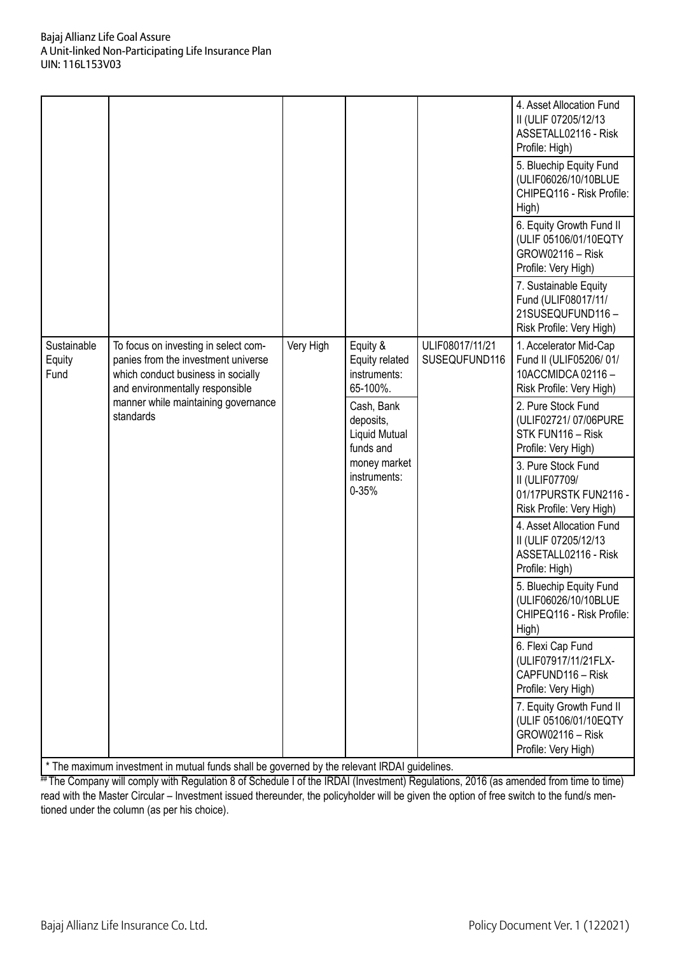|                               |                                                                                                                                                                                                          |           |                                                                                                                 |                                  | 4. Asset Allocation Fund<br>II (ULIF 07205/12/13<br>ASSETALL02116 - Risk<br>Profile: High)<br>5. Bluechip Equity Fund<br>(ULIF06026/10/10BLUE<br>CHIPEQ116 - Risk Profile:<br>High)<br>6. Equity Growth Fund II<br>(ULIF 05106/01/10EQTY<br><b>GROW02116 - Risk</b><br>Profile: Very High)<br>7. Sustainable Equity<br>Fund (ULIF08017/11/<br>21SUSEQUFUND116- |
|-------------------------------|----------------------------------------------------------------------------------------------------------------------------------------------------------------------------------------------------------|-----------|-----------------------------------------------------------------------------------------------------------------|----------------------------------|----------------------------------------------------------------------------------------------------------------------------------------------------------------------------------------------------------------------------------------------------------------------------------------------------------------------------------------------------------------|
| Sustainable<br>Equity<br>Fund | To focus on investing in select com-<br>panies from the investment universe<br>which conduct business in socially<br>and environmentally responsible<br>manner while maintaining governance<br>standards | Very High | Equity &<br>Equity related<br>instruments:<br>65-100%.<br>Cash, Bank<br>deposits,<br>Liquid Mutual<br>funds and | ULIF08017/11/21<br>SUSEQUFUND116 | Risk Profile: Very High)<br>1. Accelerator Mid-Cap<br>Fund II (ULIF05206/01/<br>10ACCMIDCA 02116-<br>Risk Profile: Very High)<br>2. Pure Stock Fund<br>(ULIF02721/07/06PURE<br>STK FUN116 - Risk<br>Profile: Very High)                                                                                                                                        |
|                               |                                                                                                                                                                                                          |           | money market<br>instruments:<br>$0 - 35%$                                                                       |                                  | 3. Pure Stock Fund<br>II (ULIF07709/<br>01/17PURSTK FUN2116 -<br>Risk Profile: Very High)<br>4. Asset Allocation Fund                                                                                                                                                                                                                                          |
|                               |                                                                                                                                                                                                          |           |                                                                                                                 |                                  | II (ULIF 07205/12/13<br>ASSETALL02116 - Risk<br>Profile: High)                                                                                                                                                                                                                                                                                                 |
|                               |                                                                                                                                                                                                          |           |                                                                                                                 |                                  | 5. Bluechip Equity Fund<br>(ULIF06026/10/10BLUE)<br>CHIPEQ116 - Risk Profile:<br>High)                                                                                                                                                                                                                                                                         |
|                               |                                                                                                                                                                                                          |           |                                                                                                                 |                                  | 6. Flexi Cap Fund<br>(ULIF07917/11/21FLX-<br>CAPFUND116 - Risk<br>Profile: Very High)                                                                                                                                                                                                                                                                          |
|                               |                                                                                                                                                                                                          |           |                                                                                                                 |                                  | 7. Equity Growth Fund II<br>(ULIF 05106/01/10EQTY<br>GROW02116 - Risk<br>Profile: Very High)                                                                                                                                                                                                                                                                   |

\* The maximum investment in mutual funds shall be governed by the relevant IRDAI guidelines.

# The maximum investment in matter ranks shares shares by the recent matter of the IRDAI (investment) Regulations, 2016 (as amended from time to time) read with the Master Circular – Investment issued thereunder, the policyholder will be given the option of free switch to the fund/s mentioned under the column (as per his choice).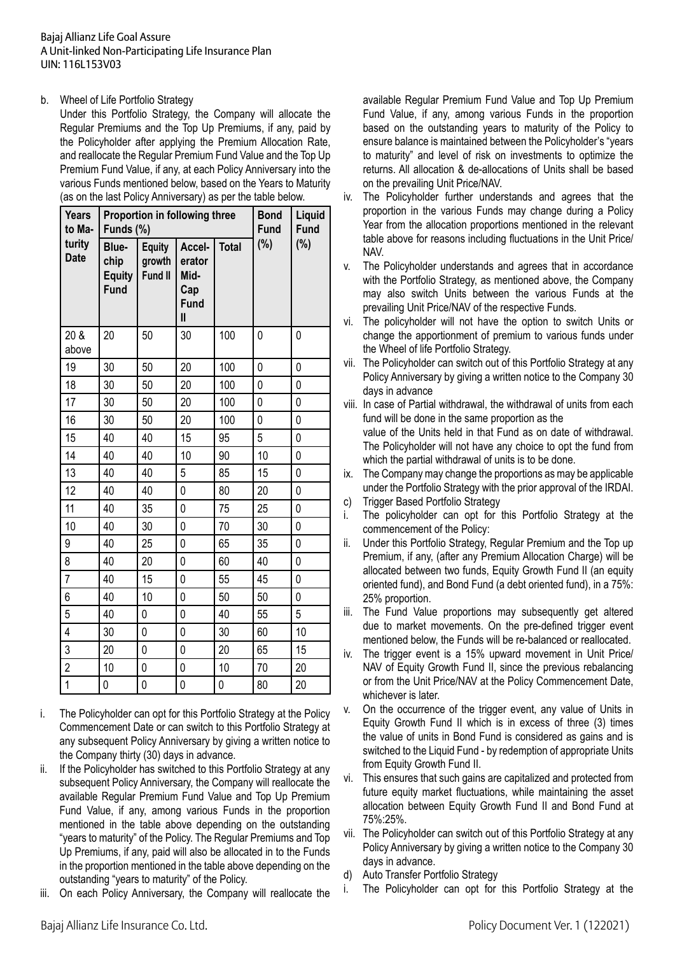## b. Wheel of Life Portfolio Strategy

 Under this Portfolio Strategy, the Company will allocate the Regular Premiums and the Top Up Premiums, if any, paid by the Policyholder after applying the Premium Allocation Rate, and reallocate the Regular Premium Fund Value and the Top Up Premium Fund Value, if any, at each Policy Anniversary into the various Funds mentioned below, based on the Years to Maturity (as on the last Policy Anniversary) as per the table below.

| <b>Years</b><br>to Ma- | Proportion in following three<br>Funds (%)    |                                    |                                                                           |              | <b>Bond</b><br><b>Fund</b> | Liquid<br><b>Fund</b> |
|------------------------|-----------------------------------------------|------------------------------------|---------------------------------------------------------------------------|--------------|----------------------------|-----------------------|
| turity<br><b>Date</b>  | Blue-<br>chip<br><b>Equity</b><br><b>Fund</b> | <b>Equity</b><br>growth<br>Fund II | Accel-<br>erator<br>Mid-<br>Cap<br><b>Fund</b><br>$\overline{\mathsf{I}}$ | <b>Total</b> | (%)                        | (%)                   |
| 20 &<br>above          | 20                                            | 50                                 | 30                                                                        | 100          | 0                          | 0                     |
| 19                     | 30                                            | 50                                 | 20                                                                        | 100          | 0                          | 0                     |
| 18                     | 30                                            | 50                                 | 20                                                                        | 100          | 0                          | 0                     |
| 17                     | 30                                            | 50                                 | 20                                                                        | 100          | 0                          | 0                     |
| 16                     | 30                                            | 50                                 | 20                                                                        | 100          | 0                          | 0                     |
| 15                     | 40                                            | 40                                 | 15                                                                        | 95           | 5                          | 0                     |
| 14                     | 40                                            | 40                                 | 10                                                                        | 90           | 10                         | 0                     |
| 13                     | 40                                            | 40                                 | 5                                                                         | 85           | 15                         | 0                     |
| 12                     | 40                                            | 40                                 | 0                                                                         | 80           | 20                         | 0                     |
| 11                     | 40                                            | 35                                 | 0                                                                         | 75           | 25                         | 0                     |
| 10                     | 40                                            | 30                                 | 0                                                                         | 70           | 30                         | 0                     |
| 9                      | 40                                            | 25                                 | 0                                                                         | 65           | 35                         | 0                     |
| 8                      | 40                                            | 20                                 | 0                                                                         | 60           | 40                         | 0                     |
| $\overline{7}$         | 40                                            | 15                                 | 0                                                                         | 55           | 45                         | 0                     |
| 6                      | 40                                            | 10                                 | $\overline{0}$                                                            | 50           | 50                         | 0                     |
| 5                      | 40                                            | 0                                  | 0                                                                         | 40           | 55                         | 5                     |
| $\overline{4}$         | 30                                            | 0                                  | 0                                                                         | 30           | 60                         | 10                    |
| 3                      | 20                                            | 0                                  | $\mathbf{0}$                                                              | 20           | 65                         | 15                    |
| $\overline{c}$         | 10                                            | 0                                  | $\mathbf{0}$                                                              | 10           | 70                         | 20                    |
| $\overline{1}$         | 0                                             | $\mathbf{0}$                       | $\mathbf 0$                                                               | 0            | 80                         | 20                    |

- i. The Policyholder can opt for this Portfolio Strategy at the Policy Commencement Date or can switch to this Portfolio Strategy at any subsequent Policy Anniversary by giving a written notice to the Company thirty (30) days in advance.
- ii. If the Policyholder has switched to this Portfolio Strategy at any subsequent Policy Anniversary, the Company will reallocate the available Regular Premium Fund Value and Top Up Premium Fund Value, if any, among various Funds in the proportion mentioned in the table above depending on the outstanding "years to maturity" of the Policy. The Regular Premiums and Top Up Premiums, if any, paid will also be allocated in to the Funds in the proportion mentioned in the table above depending on the outstanding "years to maturity" of the Policy.
- iii. On each Policy Anniversary, the Company will reallocate the

available Regular Premium Fund Value and Top Up Premium Fund Value, if any, among various Funds in the proportion based on the outstanding years to maturity of the Policy to ensure balance is maintained between the Policyholder's "years to maturity" and level of risk on investments to optimize the returns. All allocation & de-allocations of Units shall be based on the prevailing Unit Price/NAV.

- iv. The Policyholder further understands and agrees that the proportion in the various Funds may change during a Policy Year from the allocation proportions mentioned in the relevant table above for reasons including fluctuations in the Unit Price/ NAV.
- v. The Policyholder understands and agrees that in accordance with the Portfolio Strategy, as mentioned above, the Company may also switch Units between the various Funds at the prevailing Unit Price/NAV of the respective Funds.
- vi. The policyholder will not have the option to switch Units or change the apportionment of premium to various funds under the Wheel of life Portfolio Strategy.
- vii. The Policyholder can switch out of this Portfolio Strategy at any Policy Anniversary by giving a written notice to the Company 30 days in advance
- viii. In case of Partial withdrawal, the withdrawal of units from each fund will be done in the same proportion as the value of the Units held in that Fund as on date of withdrawal. The Policyholder will not have any choice to opt the fund from which the partial withdrawal of units is to be done.
- ix. The Company may change the proportions as may be applicable under the Portfolio Strategy with the prior approval of the IRDAI.
- c) Trigger Based Portfolio Strategy
- i. The policyholder can opt for this Portfolio Strategy at the commencement of the Policy:
- ii. Under this Portfolio Strategy, Regular Premium and the Top up Premium, if any, (after any Premium Allocation Charge) will be allocated between two funds, Equity Growth Fund II (an equity oriented fund), and Bond Fund (a debt oriented fund), in a 75%: 25% proportion.
- iii. The Fund Value proportions may subsequently get altered due to market movements. On the pre-defined trigger event mentioned below, the Funds will be re-balanced or reallocated.
- iv. The trigger event is a 15% upward movement in Unit Price/ NAV of Equity Growth Fund II, since the previous rebalancing or from the Unit Price/NAV at the Policy Commencement Date, whichever is later.
- v. On the occurrence of the trigger event, any value of Units in Equity Growth Fund II which is in excess of three (3) times the value of units in Bond Fund is considered as gains and is switched to the Liquid Fund - by redemption of appropriate Units from Equity Growth Fund II.
- vi. This ensures that such gains are capitalized and protected from future equity market fluctuations, while maintaining the asset allocation between Equity Growth Fund II and Bond Fund at 75%:25%.
- vii. The Policyholder can switch out of this Portfolio Strategy at any Policy Anniversary by giving a written notice to the Company 30 days in advance.
- d) Auto Transfer Portfolio Strategy
- i. The Policyholder can opt for this Portfolio Strategy at the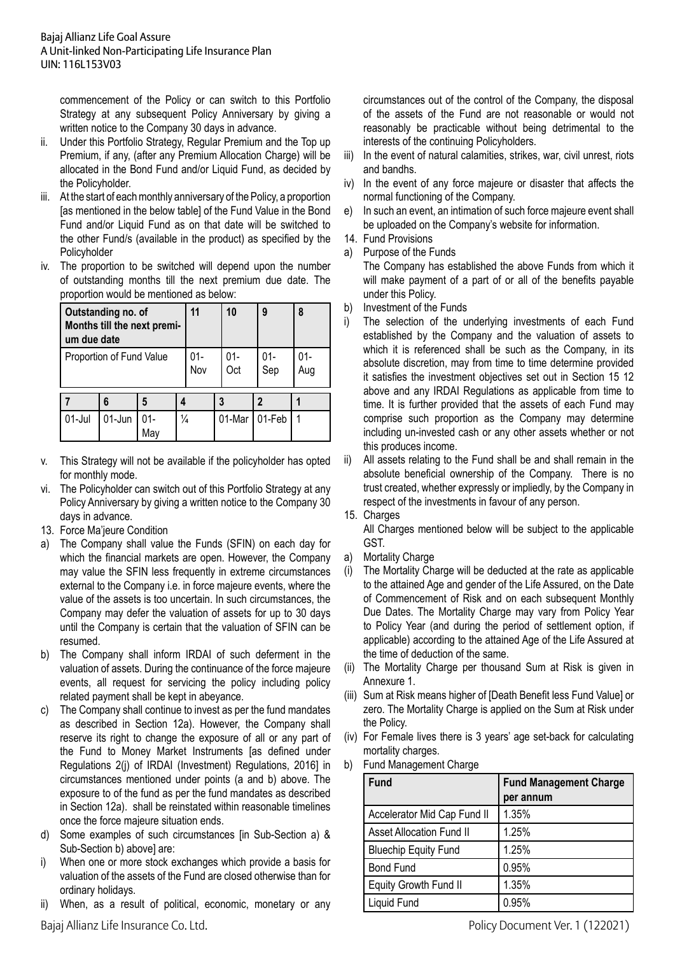commencement of the Policy or can switch to this Portfolio Strategy at any subsequent Policy Anniversary by giving a written notice to the Company 30 days in advance.

- ii. Under this Portfolio Strategy, Regular Premium and the Top up Premium, if any, (after any Premium Allocation Charge) will be allocated in the Bond Fund and/or Liquid Fund, as decided by the Policyholder.
- iii. At the start of each monthly anniversary of the Policy, a proportion [as mentioned in the below table] of the Fund Value in the Bond Fund and/or Liquid Fund as on that date will be switched to the other Fund/s (available in the product) as specified by the Policyholder
- iv. The proportion to be switched will depend upon the number of outstanding months till the next premium due date. The proportion would be mentioned as below:

| Outstanding no. of<br>Months till the next premi-<br>um due date |        |            | 11            |  | 10         | 9          | 8             |  |
|------------------------------------------------------------------|--------|------------|---------------|--|------------|------------|---------------|--|
| Proportion of Fund Value                                         |        |            | 01-<br>Nov    |  | 01-<br>Oct | 01-<br>Sep | $01 -$<br>Aug |  |
|                                                                  | 6      |            |               |  | 3          |            |               |  |
| $01$ -Jul                                                        | 01-Jun | 01-<br>Mav | $\frac{1}{4}$ |  |            | 01-Mar     | 01-Feb        |  |

- v. This Strategy will not be available if the policyholder has opted for monthly mode.
- vi. The Policyholder can switch out of this Portfolio Strategy at any Policy Anniversary by giving a written notice to the Company 30 days in advance.
- 13. Force Ma'jeure Condition
- a) The Company shall value the Funds (SFIN) on each day for which the financial markets are open. However, the Company may value the SFIN less frequently in extreme circumstances external to the Company i.e. in force majeure events, where the value of the assets is too uncertain. In such circumstances, the Company may defer the valuation of assets for up to 30 days until the Company is certain that the valuation of SFIN can be resumed.
- b) The Company shall inform IRDAI of such deferment in the valuation of assets. During the continuance of the force majeure events, all request for servicing the policy including policy related payment shall be kept in abeyance.
- c) The Company shall continue to invest as per the fund mandates as described in Section 12a). However, the Company shall reserve its right to change the exposure of all or any part of the Fund to Money Market Instruments [as defined under Regulations 2(j) of IRDAI (Investment) Regulations, 2016] in circumstances mentioned under points (a and b) above. The exposure to of the fund as per the fund mandates as described in Section 12a). shall be reinstated within reasonable timelines once the force majeure situation ends.
- d) Some examples of such circumstances [in Sub-Section a) & Sub-Section b) above] are:
- i) When one or more stock exchanges which provide a basis for valuation of the assets of the Fund are closed otherwise than for ordinary holidays.
- ii) When, as a result of political, economic, monetary or any

circumstances out of the control of the Company, the disposal of the assets of the Fund are not reasonable or would not reasonably be practicable without being detrimental to the interests of the continuing Policyholders.

- iii) In the event of natural calamities, strikes, war, civil unrest, riots and bandhs.
- iv) In the event of any force majeure or disaster that affects the normal functioning of the Company.
- e) In such an event, an intimation of such force majeure event shall be uploaded on the Company's website for information.
- 14. Fund Provisions
- a) Purpose of the Funds

The Company has established the above Funds from which it will make payment of a part of or all of the benefits payable under this Policy.

- b) Investment of the Funds
- i) The selection of the underlying investments of each Fund established by the Company and the valuation of assets to which it is referenced shall be such as the Company, in its absolute discretion, may from time to time determine provided it satisfies the investment objectives set out in Section 15 12 above and any IRDAI Regulations as applicable from time to time. It is further provided that the assets of each Fund may comprise such proportion as the Company may determine including un-invested cash or any other assets whether or not this produces income.
- ii) All assets relating to the Fund shall be and shall remain in the absolute beneficial ownership of the Company. There is no trust created, whether expressly or impliedly, by the Company in respect of the investments in favour of any person.
- 15. Charges

 All Charges mentioned below will be subject to the applicable GST.

- a) Mortality Charge
- (i) The Mortality Charge will be deducted at the rate as applicable to the attained Age and gender of the Life Assured, on the Date of Commencement of Risk and on each subsequent Monthly Due Dates. The Mortality Charge may vary from Policy Year to Policy Year (and during the period of settlement option, if applicable) according to the attained Age of the Life Assured at the time of deduction of the same.
- (ii) The Mortality Charge per thousand Sum at Risk is given in Annexure 1.
- (iii) Sum at Risk means higher of [Death Benefit less Fund Value] or zero. The Mortality Charge is applied on the Sum at Risk under the Policy.
- (iv) For Female lives there is 3 years' age set-back for calculating mortality charges.
- b) Fund Management Charge

| <b>Fund</b>                     | <b>Fund Management Charge</b><br>per annum |
|---------------------------------|--------------------------------------------|
| Accelerator Mid Cap Fund II     | 1.35%                                      |
| <b>Asset Allocation Fund II</b> | 1.25%                                      |
| <b>Bluechip Equity Fund</b>     | 1.25%                                      |
| <b>Bond Fund</b>                | 0.95%                                      |
| Equity Growth Fund II           | 1.35%                                      |
| Liquid Fund                     | 0.95%                                      |

Bajaj Allianz Life Insurance Co. Ltd. Policy Document Ver. 1 (122021)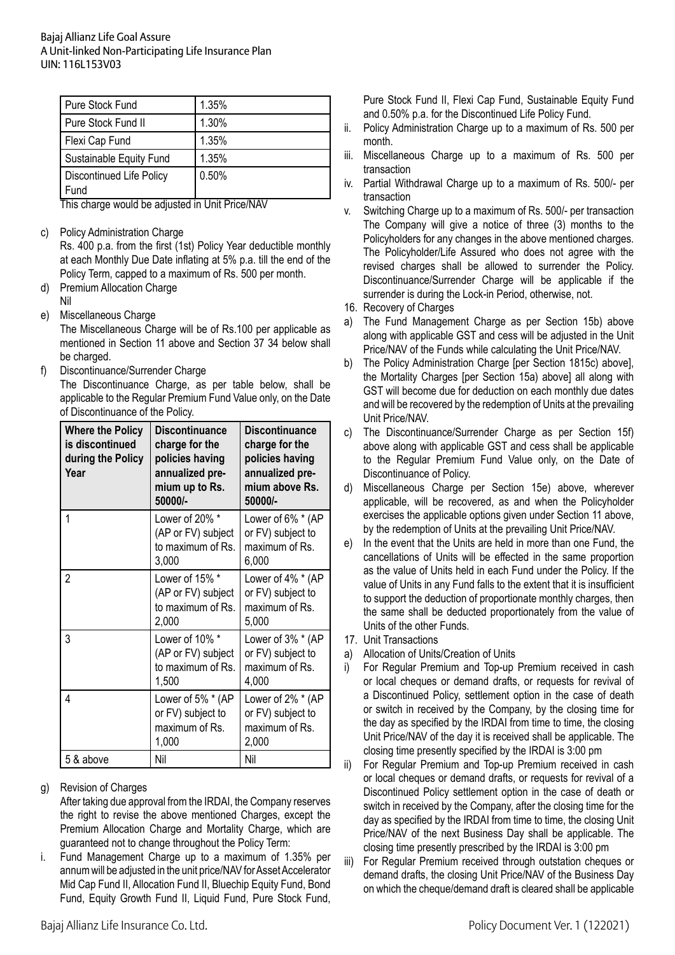| Pure Stock Fund                         | 1.35% |
|-----------------------------------------|-------|
| Pure Stock Fund II                      | 1.30% |
| Flexi Cap Fund                          | 1.35% |
| Sustainable Equity Fund                 | 1.35% |
| <b>Discontinued Life Policy</b><br>Fund | 0.50% |

 This charge would be adjusted in Unit Price/NAV

c) Policy Administration Charge

 Rs. 400 p.a. from the first (1st) Policy Year deductible monthly at each Monthly Due Date inflating at 5% p.a. till the end of the Policy Term, capped to a maximum of Rs. 500 per month.

- d) Premium Allocation Charge Nil
- e) Miscellaneous Charge

 The Miscellaneous Charge will be of Rs.100 per applicable as mentioned in Section 11 above and Section 37 34 below shall be charged.

f) Discontinuance/Surrender Charge

The Discontinuance Charge, as per table below, shall be applicable to the Regular Premium Fund Value only, on the Date of Discontinuance of the Policy.

| <b>Where the Policy</b><br>is discontinued<br>during the Policy<br>Year | <b>Discontinuance</b><br>charge for the<br>policies having<br>annualized pre-<br>mium up to Rs.<br>50000/- | <b>Discontinuance</b><br>charge for the<br>policies having<br>annualized pre-<br>mium above Rs.<br>50000/- |
|-------------------------------------------------------------------------|------------------------------------------------------------------------------------------------------------|------------------------------------------------------------------------------------------------------------|
| 1                                                                       | Lower of 20% *<br>(AP or FV) subject<br>to maximum of Rs.<br>3,000                                         | Lower of 6% * (AP<br>or FV) subject to<br>maximum of Rs.<br>6,000                                          |
| 2                                                                       | Lower of 15% *<br>(AP or FV) subject<br>to maximum of Rs.<br>2,000                                         | Lower of 4% * (AP<br>or FV) subject to<br>maximum of Rs.<br>5,000                                          |
| 3                                                                       | Lower of 10% *<br>(AP or FV) subject<br>to maximum of Rs.<br>1,500                                         | Lower of 3% * (AP<br>or FV) subject to<br>maximum of Rs.<br>4,000                                          |
| 4                                                                       | Lower of 5% * (AP<br>or FV) subject to<br>maximum of Rs.<br>1,000                                          | Lower of 2% * (AP<br>or FV) subject to<br>maximum of Rs.<br>2,000                                          |
| 5 & above                                                               | Nil                                                                                                        | Nil                                                                                                        |

g) Revision of Charges

After taking due approval from the IRDAI, the Company reserves the right to revise the above mentioned Charges, except the Premium Allocation Charge and Mortality Charge, which are guaranteed not to change throughout the Policy Term:

i. Fund Management Charge up to a maximum of 1.35% per annum will be adjusted in the unit price/NAV for Asset Accelerator Mid Cap Fund II, Allocation Fund II, Bluechip Equity Fund, Bond Fund, Equity Growth Fund II, Liquid Fund, Pure Stock Fund, Pure Stock Fund II, Flexi Cap Fund, Sustainable Equity Fund and 0.50% p.a. for the Discontinued Life Policy Fund.

- ii. Policy Administration Charge up to a maximum of Rs. 500 per month.
- iii. Miscellaneous Charge up to a maximum of Rs. 500 per transaction
- iv. Partial Withdrawal Charge up to a maximum of Rs. 500/- per transaction
- v. Switching Charge up to a maximum of Rs. 500/- per transaction The Company will give a notice of three (3) months to the Policyholders for any changes in the above mentioned charges. The Policyholder/Life Assured who does not agree with the revised charges shall be allowed to surrender the Policy. Discontinuance/Surrender Charge will be applicable if the surrender is during the Lock-in Period, otherwise, not.
- 16. Recovery of Charges
- a) The Fund Management Charge as per Section 15b) above along with applicable GST and cess will be adjusted in the Unit Price/NAV of the Funds while calculating the Unit Price/NAV.
- b) The Policy Administration Charge [per Section 1815c) above], the Mortality Charges [per Section 15a) above] all along with GST will become due for deduction on each monthly due dates and will be recovered by the redemption of Units at the prevailing Unit Price/NAV.
- c) The Discontinuance/Surrender Charge as per Section 15f) above along with applicable GST and cess shall be applicable to the Regular Premium Fund Value only, on the Date of Discontinuance of Policy.
- d) Miscellaneous Charge per Section 15e) above, wherever applicable, will be recovered, as and when the Policyholder exercises the applicable options given under Section 11 above, by the redemption of Units at the prevailing Unit Price/NAV.
- e) In the event that the Units are held in more than one Fund, the cancellations of Units will be effected in the same proportion as the value of Units held in each Fund under the Policy. If the value of Units in any Fund falls to the extent that it is insufficient to support the deduction of proportionate monthly charges, then the same shall be deducted proportionately from the value of Units of the other Funds.
- 17. Unit Transactions
- a) Allocation of Units/Creation of Units
- For Regular Premium and Top-up Premium received in cash or local cheques or demand drafts, or requests for revival of a Discontinued Policy, settlement option in the case of death or switch in received by the Company, by the closing time for the day as specified by the IRDAI from time to time, the closing Unit Price/NAV of the day it is received shall be applicable. The closing time presently specified by the IRDAI is 3:00 pm
- ii) For Regular Premium and Top-up Premium received in cash or local cheques or demand drafts, or requests for revival of a Discontinued Policy settlement option in the case of death or switch in received by the Company, after the closing time for the day as specified by the IRDAI from time to time, the closing Unit Price/NAV of the next Business Day shall be applicable. The closing time presently prescribed by the IRDAI is 3:00 pm
- iii) For Regular Premium received through outstation cheques or demand drafts, the closing Unit Price/NAV of the Business Day on which the cheque/demand draft is cleared shall be applicable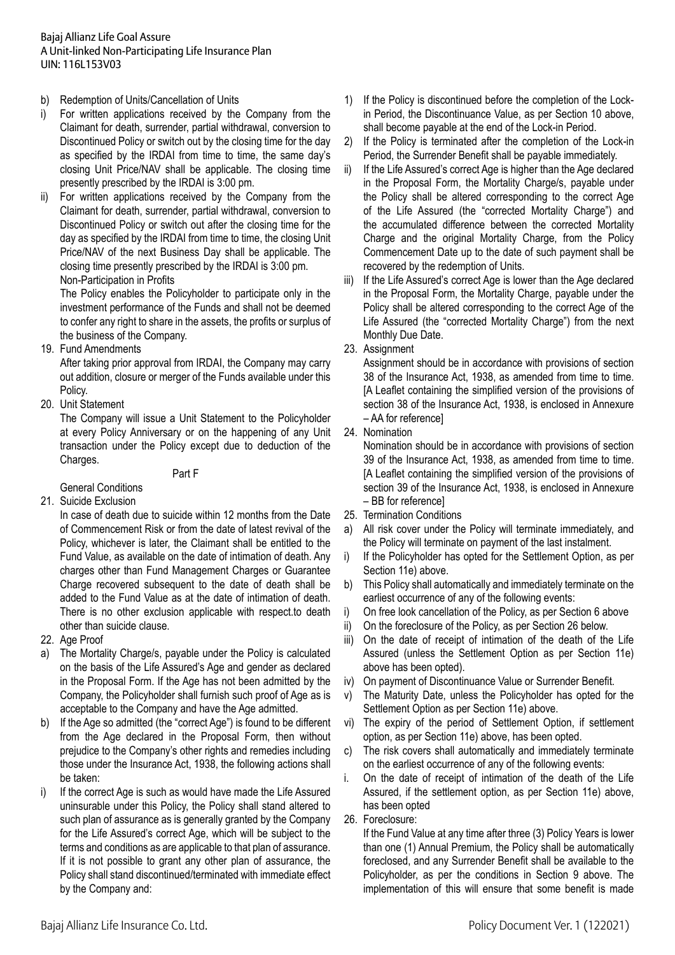- b) Redemption of Units/Cancellation of Units
- i) For written applications received by the Company from the Claimant for death, surrender, partial withdrawal, conversion to Discontinued Policy or switch out by the closing time for the day as specified by the IRDAI from time to time, the same day's closing Unit Price/NAV shall be applicable. The closing time presently prescribed by the IRDAI is 3:00 pm.
- For written applications received by the Company from the Claimant for death, surrender, partial withdrawal, conversion to Discontinued Policy or switch out after the closing time for the day as specified by the IRDAI from time to time, the closing Unit Price/NAV of the next Business Day shall be applicable. The closing time presently prescribed by the IRDAI is 3:00 pm. Non-Participation in Profits

The Policy enables the Policyholder to participate only in the investment performance of the Funds and shall not be deemed to confer any right to share in the assets, the profits or surplus of the business of the Company.

19. Fund Amendments

 After taking prior approval from IRDAI, the Company may carry out addition, closure or merger of the Funds available under this Policy.

20. Unit Statement

 The Company will issue a Unit Statement to the Policyholder at every Policy Anniversary or on the happening of any Unit transaction under the Policy except due to deduction of the Charges.

Part F

- General Conditions
- 21. Suicide Exclusion

 In case of death due to suicide within 12 months from the Date of Commencement Risk or from the date of latest revival of the Policy, whichever is later, the Claimant shall be entitled to the Fund Value, as available on the date of intimation of death. Any charges other than Fund Management Charges or Guarantee Charge recovered subsequent to the date of death shall be added to the Fund Value as at the date of intimation of death. There is no other exclusion applicable with respect.to death other than suicide clause.

- 22. Age Proof
- a) The Mortality Charge/s, payable under the Policy is calculated on the basis of the Life Assured's Age and gender as declared in the Proposal Form. If the Age has not been admitted by the Company, the Policyholder shall furnish such proof of Age as is acceptable to the Company and have the Age admitted.
- b) If the Age so admitted (the "correct Age") is found to be different from the Age declared in the Proposal Form, then without prejudice to the Company's other rights and remedies including those under the Insurance Act, 1938, the following actions shall be taken:
- i) If the correct Age is such as would have made the Life Assured uninsurable under this Policy, the Policy shall stand altered to such plan of assurance as is generally granted by the Company for the Life Assured's correct Age, which will be subject to the terms and conditions as are applicable to that plan of assurance. If it is not possible to grant any other plan of assurance, the Policy shall stand discontinued/terminated with immediate effect by the Company and:
- 1) If the Policy is discontinued before the completion of the Lockin Period, the Discontinuance Value, as per Section 10 above, shall become payable at the end of the Lock-in Period.
- 2) If the Policy is terminated after the completion of the Lock-in Period, the Surrender Benefit shall be payable immediately.
- ii) If the Life Assured's correct Age is higher than the Age declared in the Proposal Form, the Mortality Charge/s, payable under the Policy shall be altered corresponding to the correct Age of the Life Assured (the "corrected Mortality Charge") and the accumulated difference between the corrected Mortality Charge and the original Mortality Charge, from the Policy Commencement Date up to the date of such payment shall be recovered by the redemption of Units.
- iii) If the Life Assured's correct Age is lower than the Age declared in the Proposal Form, the Mortality Charge, payable under the Policy shall be altered corresponding to the correct Age of the Life Assured (the "corrected Mortality Charge") from the next Monthly Due Date.
- 23. Assignment

 Assignment should be in accordance with provisions of section 38 of the Insurance Act, 1938, as amended from time to time. [A Leaflet containing the simplified version of the provisions of section 38 of the Insurance Act, 1938, is enclosed in Annexure – AA for reference]

24. Nomination

Nomination should be in accordance with provisions of section 39 of the Insurance Act, 1938, as amended from time to time. [A Leaflet containing the simplified version of the provisions of section 39 of the Insurance Act, 1938, is enclosed in Annexure – BB for reference]

- 25. Termination Conditions
- a) All risk cover under the Policy will terminate immediately, and the Policy will terminate on payment of the last instalment.
- i) If the Policyholder has opted for the Settlement Option, as per Section 11e) above.
- b) This Policy shall automatically and immediately terminate on the earliest occurrence of any of the following events:
- i) On free look cancellation of the Policy, as per Section 6 above
- ii) On the foreclosure of the Policy, as per Section 26 below.
- iii) On the date of receipt of intimation of the death of the Life Assured (unless the Settlement Option as per Section 11e) above has been opted).
- iv) On payment of Discontinuance Value or Surrender Benefit.
- v) The Maturity Date, unless the Policyholder has opted for the Settlement Option as per Section 11e) above.
- vi) The expiry of the period of Settlement Option, if settlement option, as per Section 11e) above, has been opted.
- c) The risk covers shall automatically and immediately terminate on the earliest occurrence of any of the following events:
- i. On the date of receipt of intimation of the death of the Life Assured, if the settlement option, as per Section 11e) above, has been opted
- 26. Foreclosure:

 If the Fund Value at any time after three (3) Policy Years is lower than one (1) Annual Premium, the Policy shall be automatically foreclosed, and any Surrender Benefit shall be available to the Policyholder, as per the conditions in Section 9 above. The implementation of this will ensure that some benefit is made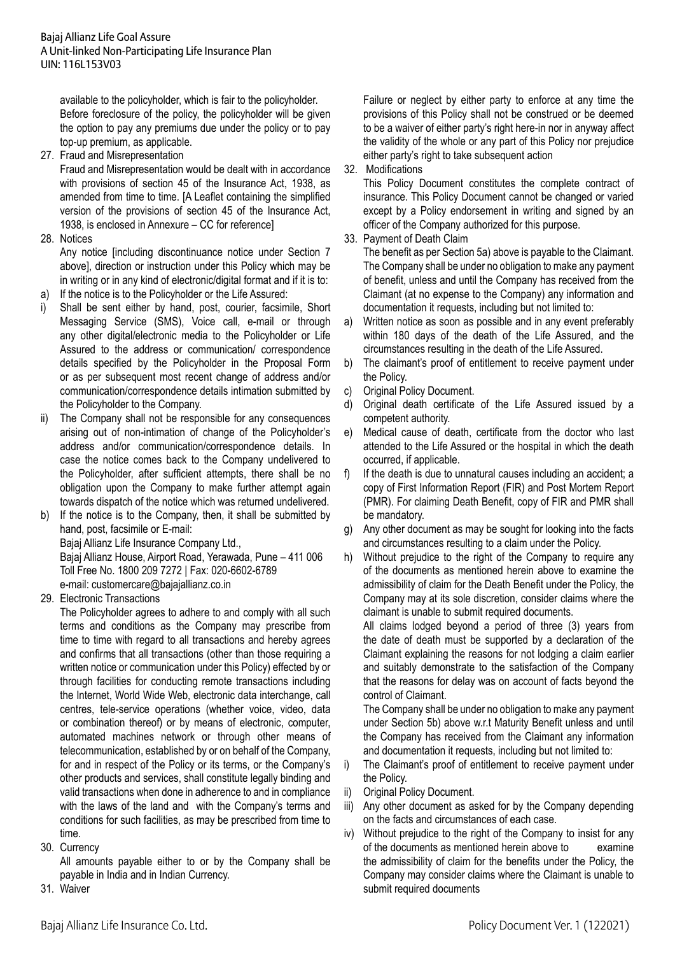available to the policyholder, which is fair to the policyholder. Before foreclosure of the policy, the policyholder will be given the option to pay any premiums due under the policy or to pay top-up premium, as applicable.

27. Fraud and Misrepresentation

Fraud and Misrepresentation would be dealt with in accordance with provisions of section 45 of the Insurance Act, 1938, as amended from time to time. [A Leaflet containing the simplified version of the provisions of section 45 of the Insurance Act, 1938, is enclosed in Annexure – CC for reference]

28. Notices

 Any notice [including discontinuance notice under Section 7 above], direction or instruction under this Policy which may be in writing or in any kind of electronic/digital format and if it is to:

- a) If the notice is to the Policyholder or the Life Assured:
- i) Shall be sent either by hand, post, courier, facsimile, Short Messaging Service (SMS), Voice call, e-mail or through any other digital/electronic media to the Policyholder or Life Assured to the address or communication/ correspondence details specified by the Policyholder in the Proposal Form or as per subsequent most recent change of address and/or communication/correspondence details intimation submitted by the Policyholder to the Company.
- ii) The Company shall not be responsible for any consequences arising out of non-intimation of change of the Policyholder's address and/or communication/correspondence details. In case the notice comes back to the Company undelivered to the Policyholder, after sufficient attempts, there shall be no obligation upon the Company to make further attempt again towards dispatch of the notice which was returned undelivered.
- b) If the notice is to the Company, then, it shall be submitted by hand, post, facsimile or E-mail: Bajaj Allianz Life Insurance Company Ltd., Bajaj Allianz House, Airport Road, Yerawada, Pune – 411 006 Toll Free No. 1800 209 7272 | Fax: 020-6602-6789 e-mail: customercare@bajajallianz.co.in
- 29. Electronic Transactions

The Policyholder agrees to adhere to and comply with all such terms and conditions as the Company may prescribe from time to time with regard to all transactions and hereby agrees and confirms that all transactions (other than those requiring a written notice or communication under this Policy) effected by or through facilities for conducting remote transactions including the Internet, World Wide Web, electronic data interchange, call centres, tele-service operations (whether voice, video, data or combination thereof) or by means of electronic, computer, automated machines network or through other means of telecommunication, established by or on behalf of the Company, for and in respect of the Policy or its terms, or the Company's other products and services, shall constitute legally binding and valid transactions when done in adherence to and in compliance with the laws of the land and with the Company's terms and conditions for such facilities, as may be prescribed from time to time.

30. Currency

 All amounts payable either to or by the Company shall be payable in India and in Indian Currency.

31. Waiver

Failure or neglect by either party to enforce at any time the provisions of this Policy shall not be construed or be deemed to be a waiver of either party's right here-in nor in anyway affect the validity of the whole or any part of this Policy nor prejudice either party's right to take subsequent action

32. Modifications

This Policy Document constitutes the complete contract of insurance. This Policy Document cannot be changed or varied except by a Policy endorsement in writing and signed by an officer of the Company authorized for this purpose.

33. Payment of Death Claim

 The benefit as per Section 5a) above is payable to the Claimant. The Company shall be under no obligation to make any payment of benefit, unless and until the Company has received from the Claimant (at no expense to the Company) any information and documentation it requests, including but not limited to:

- a) Written notice as soon as possible and in any event preferably within 180 days of the death of the Life Assured, and the circumstances resulting in the death of the Life Assured.
- b) The claimant's proof of entitlement to receive payment under the Policy.
- c) Original Policy Document.
- d) Original death certificate of the Life Assured issued by a competent authority.
- e) Medical cause of death, certificate from the doctor who last attended to the Life Assured or the hospital in which the death occurred, if applicable.
- f) If the death is due to unnatural causes including an accident; a copy of First Information Report (FIR) and Post Mortem Report (PMR). For claiming Death Benefit, copy of FIR and PMR shall be mandatory.
- g) Any other document as may be sought for looking into the facts and circumstances resulting to a claim under the Policy.
- h) Without prejudice to the right of the Company to require any of the documents as mentioned herein above to examine the admissibility of claim for the Death Benefit under the Policy, the Company may at its sole discretion, consider claims where the claimant is unable to submit required documents.

 All claims lodged beyond a period of three (3) years from the date of death must be supported by a declaration of the Claimant explaining the reasons for not lodging a claim earlier and suitably demonstrate to the satisfaction of the Company that the reasons for delay was on account of facts beyond the control of Claimant.

The Company shall be under no obligation to make any payment under Section 5b) above w.r.t Maturity Benefit unless and until the Company has received from the Claimant any information and documentation it requests, including but not limited to:

- i) The Claimant's proof of entitlement to receive payment under the Policy.
- ii) Original Policy Document.
- iii) Any other document as asked for by the Company depending on the facts and circumstances of each case.
- iv) Without prejudice to the right of the Company to insist for any of the documents as mentioned herein above to examine the admissibility of claim for the benefits under the Policy, the Company may consider claims where the Claimant is unable to submit required documents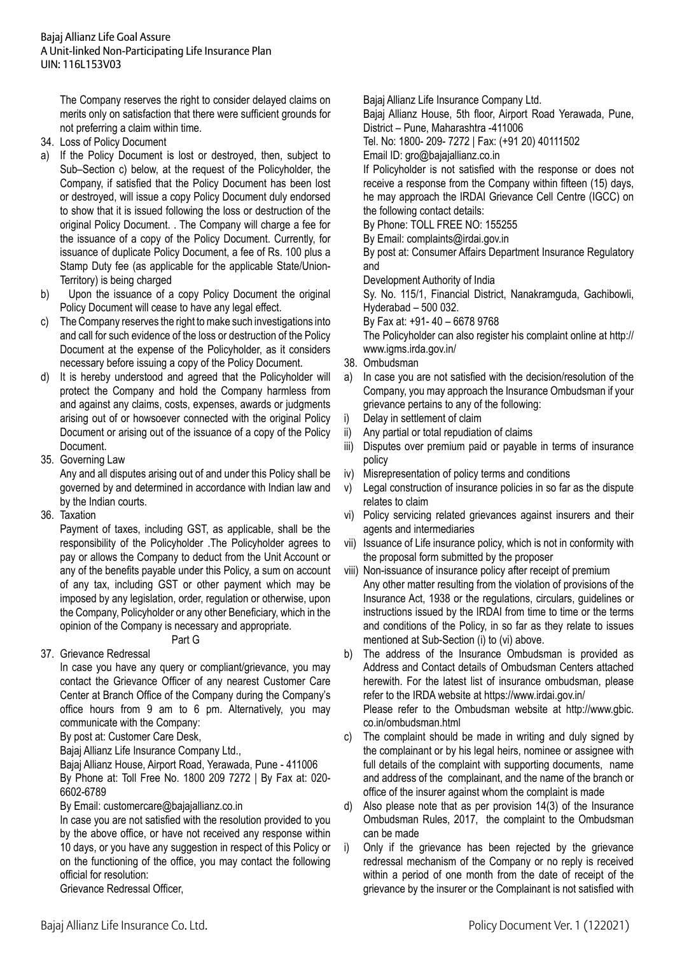The Company reserves the right to consider delayed claims on merits only on satisfaction that there were sufficient grounds for not preferring a claim within time.

- 34. Loss of Policy Document
- a) If the Policy Document is lost or destroyed, then, subject to Sub–Section c) below, at the request of the Policyholder, the Company, if satisfied that the Policy Document has been lost or destroyed, will issue a copy Policy Document duly endorsed to show that it is issued following the loss or destruction of the original Policy Document. . The Company will charge a fee for the issuance of a copy of the Policy Document. Currently, for issuance of duplicate Policy Document, a fee of Rs. 100 plus a Stamp Duty fee (as applicable for the applicable State/Union-Territory) is being charged
- b) Upon the issuance of a copy Policy Document the original Policy Document will cease to have any legal effect.
- c) The Company reserves the right to make such investigations into and call for such evidence of the loss or destruction of the Policy Document at the expense of the Policyholder, as it considers necessary before issuing a copy of the Policy Document.
- d) It is hereby understood and agreed that the Policyholder will protect the Company and hold the Company harmless from and against any claims, costs, expenses, awards or judgments arising out of or howsoever connected with the original Policy Document or arising out of the issuance of a copy of the Policy Document.
- 35. Governing Law

 Any and all disputes arising out of and under this Policy shall be governed by and determined in accordance with Indian law and by the Indian courts.

36. Taxation

Payment of taxes, including GST, as applicable, shall be the responsibility of the Policyholder .The Policyholder agrees to pay or allows the Company to deduct from the Unit Account or any of the benefits payable under this Policy, a sum on account of any tax, including GST or other payment which may be imposed by any legislation, order, regulation or otherwise, upon the Company, Policyholder or any other Beneficiary, which in the opinion of the Company is necessary and appropriate.

Part G

37. Grievance Redressal

In case you have any query or compliant/grievance, you may contact the Grievance Officer of any nearest Customer Care Center at Branch Office of the Company during the Company's office hours from 9 am to 6 pm. Alternatively, you may communicate with the Company:

 By post at: Customer Care Desk,

 Bajaj Allianz Life Insurance Company Ltd.,

 Bajaj Allianz House, Airport Road, Yerawada, Pune - 411006 By Phone at: Toll Free No. 1800 209 7272 | By Fax at: 020- 6602-6789

 By Email: customercare@bajajallianz.co.in

 In case you are not satisfied with the resolution provided to you by the above office, or have not received any response within 10 days, or you have any suggestion in respect of this Policy or on the functioning of the office, you may contact the following official for resolution:

 Grievance Redressal Officer,

 Bajaj Allianz Life Insurance Company Ltd.

 Bajaj Allianz House, 5th floor, Airport Road Yerawada, Pune, District – Pune, Maharashtra -411006

 Tel. No: 1800- 209- 7272 | Fax: (+91 20) 40111502

 Email ID: gro@bajajallianz.co.in

 If Policyholder is not satisfied with the response or does not receive a response from the Company within fifteen (15) days, he may approach the IRDAI Grievance Cell Centre (IGCC) on the following contact details:

 By Phone: TOLL FREE NO: 155255

 By Email: complaints@irdai.gov.in

 By post at: Consumer Affairs Department Insurance Regulatory and

 Development Authority of India

Sy. No. 115/1, Financial District, Nanakramguda, Gachibowli, Hyderabad – 500 032.

 By Fax at: +91- 40 – 6678 9768

 The Policyholder can also register his complaint online at http:// www.igms.irda.gov.in/

- 38. Ombudsman
- a) In case you are not satisfied with the decision/resolution of the Company, you may approach the Insurance Ombudsman if your grievance pertains to any of the following:
- i) Delay in settlement of claim
- ii) Any partial or total repudiation of claims
- iii) Disputes over premium paid or payable in terms of insurance policy
- iv) Misrepresentation of policy terms and conditions
- v) Legal construction of insurance policies in so far as the dispute relates to claim
- vi) Policy servicing related grievances against insurers and their agents and intermediaries
- vii) Issuance of Life insurance policy, which is not in conformity with the proposal form submitted by the proposer
- viii) Non-issuance of insurance policy after receipt of premium Any other matter resulting from the violation of provisions of the Insurance Act, 1938 or the regulations, circulars, guidelines or instructions issued by the IRDAI from time to time or the terms and conditions of the Policy, in so far as they relate to issues mentioned at Sub-Section (i) to (vi) above.
- b) The address of the Insurance Ombudsman is provided as Address and Contact details of Ombudsman Centers attached herewith. For the latest list of insurance ombudsman, please refer to the IRDA website at https://www.irdai.gov.in/ Please refer to the Ombudsman website at http://www.gbic. co.in/ombudsman.html
- c) The complaint should be made in writing and duly signed by the complainant or by his legal heirs, nominee or assignee with full details of the complaint with supporting documents, name and address of the complainant, and the name of the branch or office of the insurer against whom the complaint is made
- d) Also please note that as per provision 14(3) of the Insurance Ombudsman Rules, 2017, the complaint to the Ombudsman can be made
- i) Only if the grievance has been rejected by the grievance redressal mechanism of the Company or no reply is received within a period of one month from the date of receipt of the grievance by the insurer or the Complainant is not satisfied with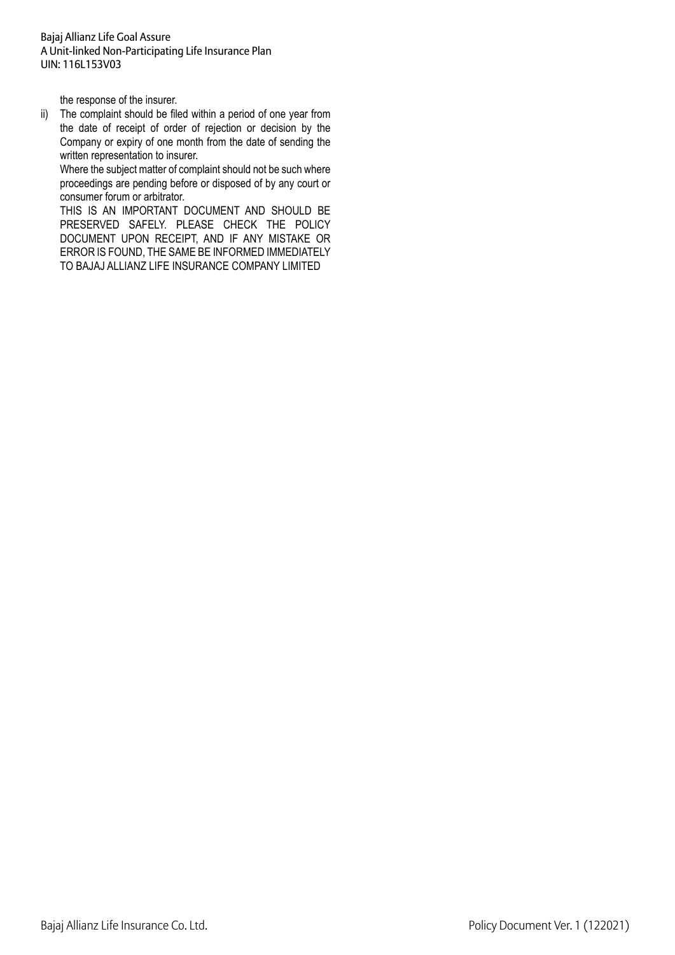the response of the insurer.

ii) The complaint should be filed within a period of one year from the date of receipt of order of rejection or decision by the Company or expiry of one month from the date of sending the written representation to insurer.

Where the subject matter of complaint should not be such where proceedings are pending before or disposed of by any court or consumer forum or arbitrator.

 THIS IS AN IMPORTANT DOCUMENT AND SHOULD BE PRESERVED SAFELY. PLEASE CHECK THE POLICY DOCUMENT UPON RECEIPT, AND IF ANY MISTAKE OR ERROR IS FOUND, THE SAME BE INFORMED IMMEDIATELY TO BAJAJ ALLIANZ LIFE INSURANCE COMPANY LIMITED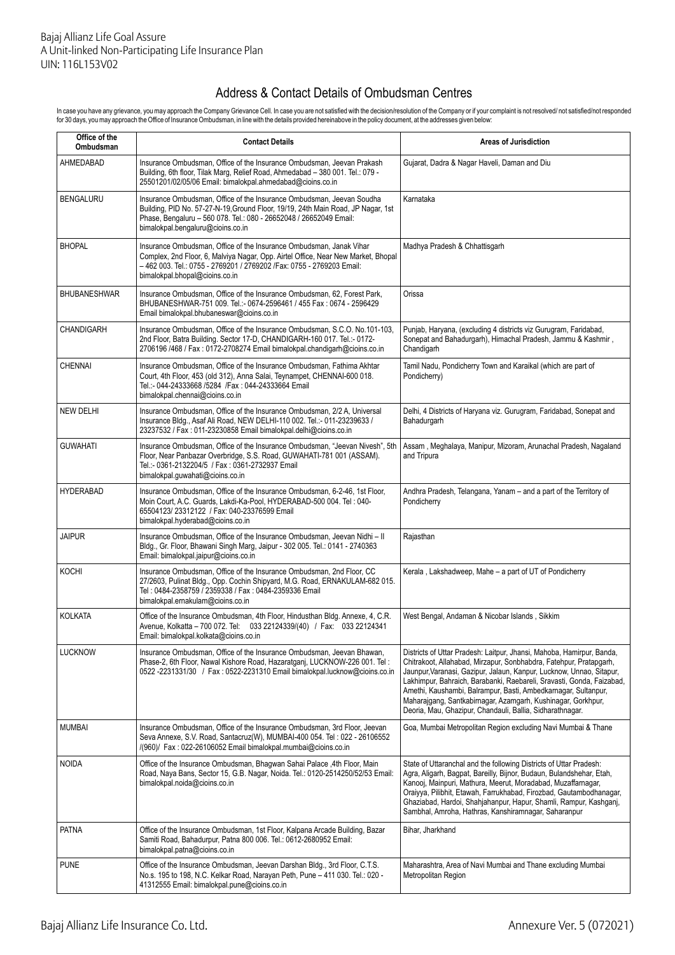# Address & Contact Details of Ombudsman Centres

In case you have any grievance, you may approach the Company Grievance Cell. In case you are not satisfied with the decision/resolution of the Company or if your complaint is not resolved/ not satisfied/not responded<br>for 3

| Office of the<br><b>Ombudsman</b> | <b>Contact Details</b>                                                                                                                                                                                                                                               | <b>Areas of Jurisdiction</b>                                                                                                                                                                                                                                                                                                                                                                                                                                                                |  |
|-----------------------------------|----------------------------------------------------------------------------------------------------------------------------------------------------------------------------------------------------------------------------------------------------------------------|---------------------------------------------------------------------------------------------------------------------------------------------------------------------------------------------------------------------------------------------------------------------------------------------------------------------------------------------------------------------------------------------------------------------------------------------------------------------------------------------|--|
| AHMEDABAD                         | Insurance Ombudsman, Office of the Insurance Ombudsman, Jeevan Prakash<br>Building, 6th floor, Tilak Marg, Relief Road, Ahmedabad - 380 001. Tel.: 079 -<br>25501201/02/05/06 Email: bimalokpal.ahmedabad@cioins.co.in                                               | Gujarat, Dadra & Nagar Haveli, Daman and Diu                                                                                                                                                                                                                                                                                                                                                                                                                                                |  |
| <b>BENGALURU</b>                  | Insurance Ombudsman, Office of the Insurance Ombudsman, Jeevan Soudha<br>Building, PID No. 57-27-N-19, Ground Floor, 19/19, 24th Main Road, JP Nagar, 1st<br>Phase, Bengaluru - 560 078. Tel.: 080 - 26652048 / 26652049 Email:<br>bimalokpal.bengaluru@cioins.co.in | Karnataka                                                                                                                                                                                                                                                                                                                                                                                                                                                                                   |  |
| <b>BHOPAL</b>                     | Insurance Ombudsman, Office of the Insurance Ombudsman, Janak Vihar<br>Complex, 2nd Floor, 6, Malviya Nagar, Opp. Airtel Office, Near New Market, Bhopal<br>-462 003. Tel.: 0755 - 2769201 / 2769202 /Fax: 0755 - 2769203 Email:<br>bimalokpal.bhopal@cioins.co.in   | Madhya Pradesh & Chhattisgarh                                                                                                                                                                                                                                                                                                                                                                                                                                                               |  |
| <b>BHUBANESHWAR</b>               | Insurance Ombudsman, Office of the Insurance Ombudsman, 62, Forest Park,<br>BHUBANESHWAR-751 009. Tel .:- 0674-2596461 / 455 Fax: 0674 - 2596429<br>Email bimalokpal.bhubaneswar@cioins.co.in                                                                        | Orissa                                                                                                                                                                                                                                                                                                                                                                                                                                                                                      |  |
| <b>CHANDIGARH</b>                 | Insurance Ombudsman, Office of the Insurance Ombudsman, S.C.O. No.101-103,<br>2nd Floor, Batra Building. Sector 17-D, CHANDIGARH-160 017. Tel.:- 0172-<br>2706196 /468 / Fax: 0172-2708274 Email bimalokpal.chandigarh@cioins.co.in                                  | Punjab, Haryana, (excluding 4 districts viz Gurugram, Faridabad,<br>Sonepat and Bahadurgarh), Himachal Pradesh, Jammu & Kashmir,<br>Chandigarh                                                                                                                                                                                                                                                                                                                                              |  |
| <b>CHENNAI</b>                    | Insurance Ombudsman, Office of the Insurance Ombudsman, Fathima Akhtar<br>Court, 4th Floor, 453 (old 312), Anna Salai, Teynampet, CHENNAI-600 018.<br>Tel.:- 044-24333668 /5284 /Fax: 044-24333664 Email<br>bimalokpal.chennai@cioins.co.in                          | Tamil Nadu, Pondicherry Town and Karaikal (which are part of<br>Pondicherry)                                                                                                                                                                                                                                                                                                                                                                                                                |  |
| <b>NEW DELHI</b>                  | Insurance Ombudsman, Office of the Insurance Ombudsman, 2/2 A, Universal<br>Insurance Bldg., Asaf Ali Road, NEW DELHI-110 002. Tel.:- 011-23239633 /<br>23237532 / Fax: 011-23230858 Email bimalokpal.delhi@cioins.co.in                                             | Delhi, 4 Districts of Haryana viz. Gurugram, Faridabad, Sonepat and<br>Bahadurgarh                                                                                                                                                                                                                                                                                                                                                                                                          |  |
| <b>GUWAHATI</b>                   | Insurance Ombudsman, Office of the Insurance Ombudsman, "Jeevan Nivesh", 5th<br>Floor, Near Panbazar Overbridge, S.S. Road, GUWAHATI-781 001 (ASSAM).<br>Tel.:- 0361-2132204/5 / Fax: 0361-2732937 Email<br>bimalokpal.guwahati@cioins.co.in                         | Assam, Meghalaya, Manipur, Mizoram, Arunachal Pradesh, Nagaland<br>and Tripura                                                                                                                                                                                                                                                                                                                                                                                                              |  |
| <b>HYDERABAD</b>                  | Insurance Ombudsman, Office of the Insurance Ombudsman, 6-2-46, 1st Floor,<br>Moin Court, A.C. Guards, Lakdi-Ka-Pool, HYDERABAD-500 004. Tel: 040-<br>65504123/23312122 / Fax: 040-23376599 Email<br>bimalokpal.hyderabad@cioins.co.in                               | Andhra Pradesh, Telangana, Yanam – and a part of the Territory of<br>Pondicherry                                                                                                                                                                                                                                                                                                                                                                                                            |  |
| JAIPUR                            | Insurance Ombudsman, Office of the Insurance Ombudsman, Jeevan Nidhi - II<br>Bldg., Gr. Floor, Bhawani Singh Marg, Jaipur - 302 005. Tel.: 0141 - 2740363<br>Email: bimalokpal.jaipur@cioins.co.in                                                                   | Rajasthan                                                                                                                                                                                                                                                                                                                                                                                                                                                                                   |  |
| <b>KOCHI</b>                      | Insurance Ombudsman, Office of the Insurance Ombudsman, 2nd Floor, CC<br>27/2603, Pulinat Bldg., Opp. Cochin Shipyard, M.G. Road, ERNAKULAM-682 015.<br>Tel: 0484-2358759 / 2359338 / Fax: 0484-2359336 Email<br>bimalokpal.ernakulam@cioins.co.in                   | Kerala, Lakshadweep, Mahe - a part of UT of Pondicherry                                                                                                                                                                                                                                                                                                                                                                                                                                     |  |
| <b>KOLKATA</b>                    | Office of the Insurance Ombudsman, 4th Floor, Hindusthan Bldg. Annexe, 4, C.R.<br>Avenue, Kolkatta - 700 072. Tel: 033 22124339/(40) / Fax: 033 22124341<br>Email: bimalokpal.kolkata@cioins.co.in                                                                   | West Bengal, Andaman & Nicobar Islands, Sikkim                                                                                                                                                                                                                                                                                                                                                                                                                                              |  |
| <b>LUCKNOW</b>                    | Insurance Ombudsman, Office of the Insurance Ombudsman, Jeevan Bhawan,<br>Phase-2, 6th Floor, Nawal Kishore Road, Hazaratganj, LUCKNOW-226 001. Tel:<br>0522 -2231331/30 / Fax: 0522-2231310 Email bimalokpal.lucknow@cioins.co.in                                   | Districts of Uttar Pradesh: Laitpur, Jhansi, Mahoba, Hamirpur, Banda,<br>Chitrakoot, Allahabad, Mirzapur, Sonbhabdra, Fatehpur, Pratapgarh,<br>Jaunpur, Varanasi, Gazipur, Jalaun, Kanpur, Lucknow, Unnao, Sitapur,<br>Lakhimpur, Bahraich, Barabanki, Raebareli, Sravasti, Gonda, Faizabad,<br>Amethi, Kaushambi, Balrampur, Basti, Ambedkarnagar, Sultanpur,<br>Maharajgang, Santkabirnagar, Azamgarh, Kushinagar, Gorkhpur,<br>Deoria, Mau, Ghazipur, Chandauli, Ballia, Sidharathnagar. |  |
| <b>MUMBAI</b>                     | Insurance Ombudsman, Office of the Insurance Ombudsman, 3rd Floor, Jeevan<br>Seva Annexe, S.V. Road, Santacruz(W), MUMBAI-400 054. Tel: 022 - 26106552<br>/(960)/ Fax: 022-26106052 Email bimalokpal.mumbai@cioins.co.in                                             | Goa, Mumbai Metropolitan Region excluding Navi Mumbai & Thane                                                                                                                                                                                                                                                                                                                                                                                                                               |  |
| <b>NOIDA</b>                      | Office of the Insurance Ombudsman, Bhagwan Sahai Palace, 4th Floor, Main<br>Road, Naya Bans, Sector 15, G.B. Nagar, Noida. Tel.: 0120-2514250/52/53 Email:<br>bimalokpal.noida@cioins.co.in                                                                          | State of Uttaranchal and the following Districts of Uttar Pradesh:<br>Agra, Aligarh, Bagpat, Bareilly, Bijnor, Budaun, Bulandshehar, Etah,<br>Kanooj, Mainpuri, Mathura, Meerut, Moradabad, Muzaffarnagar,<br>Oraiyya, Pilibhit, Etawah, Farrukhabad, Firozbad, Gautambodhanagar,<br>Ghaziabad, Hardoi, Shahjahanpur, Hapur, Shamli, Rampur, Kashganj,<br>Sambhal, Amroha, Hathras, Kanshiramnagar, Saharanpur                                                                              |  |
| PATNA                             | Office of the Insurance Ombudsman, 1st Floor, Kalpana Arcade Building, Bazar<br>Samiti Road, Bahadurpur, Patna 800 006. Tel.: 0612-2680952 Email:<br>bimalokpal.patna@cioins.co.in                                                                                   | Bihar, Jharkhand                                                                                                                                                                                                                                                                                                                                                                                                                                                                            |  |
| <b>PUNE</b>                       | Office of the Insurance Ombudsman, Jeevan Darshan Bldg., 3rd Floor, C.T.S.<br>No.s. 195 to 198, N.C. Kelkar Road, Narayan Peth, Pune - 411 030. Tel.: 020 -<br>41312555 Email: bimalokpal.pune@cioins.co.in                                                          | Maharashtra, Area of Navi Mumbai and Thane excluding Mumbai<br>Metropolitan Region                                                                                                                                                                                                                                                                                                                                                                                                          |  |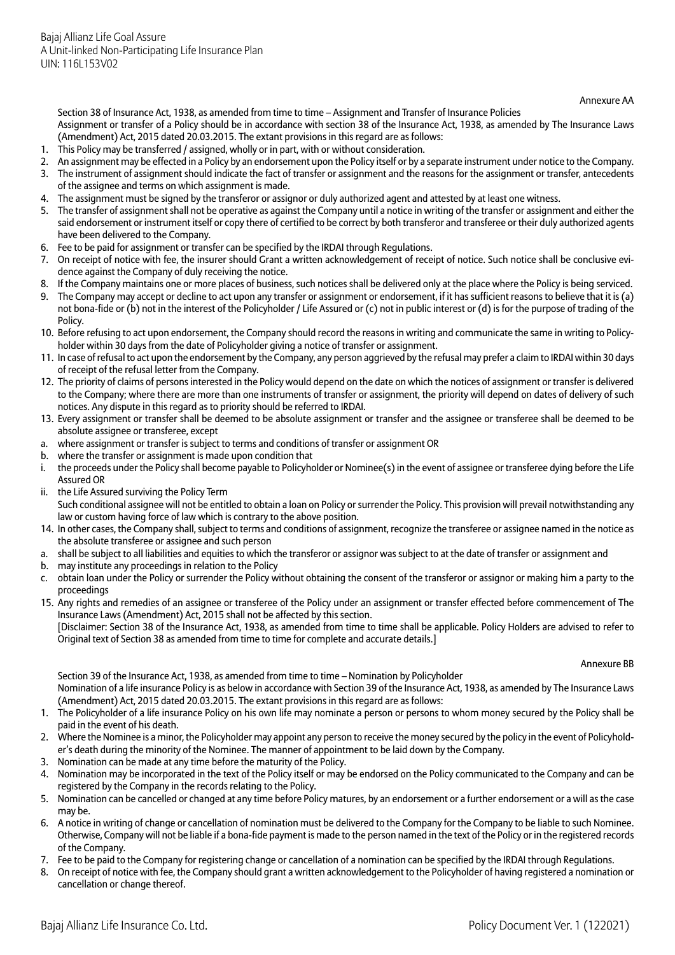Annexure AA

Section 38 of Insurance Act, 1938, as amended from time to time – Assignment and Transfer of Insurance Policies Assignment or transfer of a Policy should be in accordance with section 38 of the Insurance Act, 1938, as amended by The Insurance Laws (Amendment) Act, 2015 dated 20.03.2015. The extant provisions in this regard are as follows:

- 1. This Policy may be transferred / assigned, wholly or in part, with or without consideration.
- 2. An assignment may be effected in a Policy by an endorsement upon the Policy itself or by a separate instrument under notice to the Company. 3. The instrument of assignment should indicate the fact of transfer or assignment and the reasons for the assignment or transfer, antecedents
- of the assignee and terms on which assignment is made.
- 4. The assignment must be signed by the transferor or assignor or duly authorized agent and attested by at least one witness.
- 5. The transfer of assignment shall not be operative as against the Company until a notice in writing of the transfer or assignment and either the said endorsement or instrument itself or copy there of certified to be correct by both transferor and transferee or their duly authorized agents have been delivered to the Company.
- 6. Fee to be paid for assignment or transfer can be specified by the IRDAI through Regulations.
- 7. On receipt of notice with fee, the insurer should Grant a written acknowledgement of receipt of notice. Such notice shall be conclusive evidence against the Company of duly receiving the notice.
- 8. If the Company maintains one or more places of business, such notices shall be delivered only at the place where the Policy is being serviced.
- 9. The Company may accept or decline to act upon any transfer or assignment or endorsement, if it has sufficient reasons to believe that it is (a) not bona-fide or (b) not in the interest of the Policyholder / Life Assured or (c) not in public interest or (d) is for the purpose of trading of the Policy.
- 10. Before refusing to act upon endorsement, the Company should record the reasons in writing and communicate the same in writing to Policyholder within 30 days from the date of Policyholder giving a notice of transfer or assignment.
- 11. In case of refusal to act upon the endorsement by the Company, any person aggrieved by the refusal may prefer a claim to IRDAI within 30 days of receipt of the refusal letter from the Company.
- 12. The priority of claims of persons interested in the Policy would depend on the date on which the notices of assignment or transfer is delivered to the Company; where there are more than one instruments of transfer or assignment, the priority will depend on dates of delivery of such notices. Any dispute in this regard as to priority should be referred to IRDAI.
- 13. Every assignment or transfer shall be deemed to be absolute assignment or transfer and the assignee or transferee shall be deemed to be absolute assignee or transferee, except
- where assignment or transfer is subject to terms and conditions of transfer or assignment OR
- b. where the transfer or assignment is made upon condition that
- i. the proceeds under the Policy shall become payable to Policyholder or Nominee(s) in the event of assignee or transferee dying before the Life Assured OR
- ii. the Life Assured surviving the Policy Term
- Such conditional assignee will not be entitled to obtain a loan on Policy or surrender the Policy. This provision will prevail notwithstanding any law or custom having force of law which is contrary to the above position.
- 14. In other cases, the Company shall, subject to terms and conditions of assignment, recognize the transferee or assignee named in the notice as the absolute transferee or assignee and such person
- a. shall be subject to all liabilities and equities to which the transferor or assignor was subject to at the date of transfer or assignment and
- b. may institute any proceedings in relation to the Policy
- obtain loan under the Policy or surrender the Policy without obtaining the consent of the transferor or assignor or making him a party to the proceedings
- 15. Any rights and remedies of an assignee or transferee of the Policy under an assignment or transfer effected before commencement of The Insurance Laws (Amendment) Act, 2015 shall not be affected by this section.

[Disclaimer: Section 38 of the Insurance Act, 1938, as amended from time to time shall be applicable. Policy Holders are advised to refer to Original text of Section 38 as amended from time to time for complete and accurate details.]

#### Annexure BB

Section 39 of the Insurance Act, 1938, as amended from time to time – Nomination by Policyholder Nomination of a life insurance Policy is as below in accordance with Section 39 of the Insurance Act, 1938, as amended by The Insurance Laws (Amendment) Act, 2015 dated 20.03.2015. The extant provisions in this regard are as follows:

- 1. The Policyholder of a life insurance Policy on his own life may nominate a person or persons to whom money secured by the Policy shall be paid in the event of his death.
- 2. Where the Nominee is a minor, the Policyholder may appoint any person to receive the money secured by the policy in the event of Policyholder's death during the minority of the Nominee. The manner of appointment to be laid down by the Company.
- 3. Nomination can be made at any time before the maturity of the Policy.
- 4. Nomination may be incorporated in the text of the Policy itself or may be endorsed on the Policy communicated to the Company and can be registered by the Company in the records relating to the Policy.
- 5. Nomination can be cancelled or changed at any time before Policy matures, by an endorsement or a further endorsement or a will as the case may be.
- 6. A notice in writing of change or cancellation of nomination must be delivered to the Company for the Company to be liable to such Nominee. Otherwise, Company will not be liable if a bona-fide payment is made to the person named in the text of the Policy or in the registered records of the Company.
- 7. Fee to be paid to the Company for registering change or cancellation of a nomination can be specified by the IRDAI through Regulations.
- 8. On receipt of notice with fee, the Company should grant a written acknowledgement to the Policyholder of having registered a nomination or cancellation or change thereof.